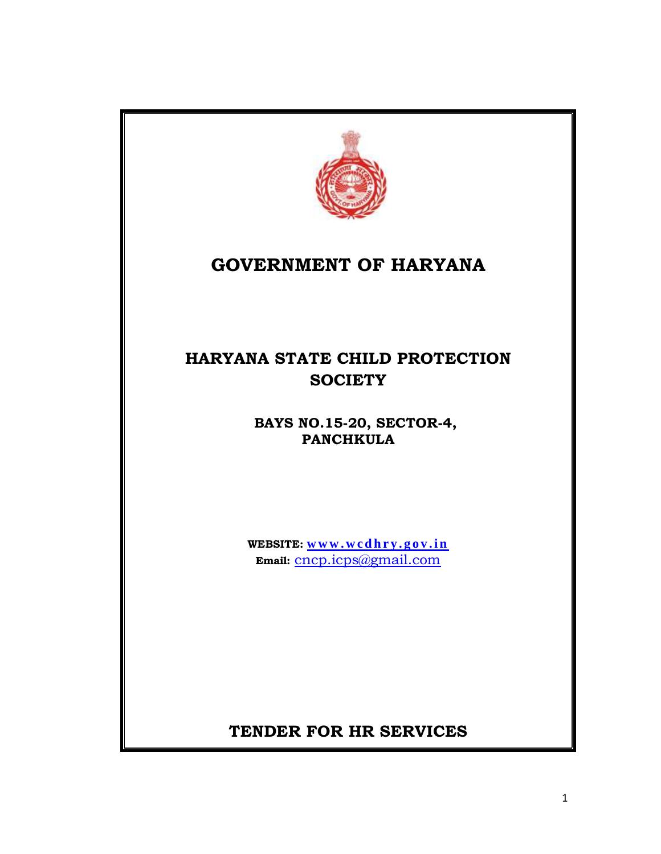

# **GOVERNMENT OF HARYANA**

# **HARYANA STATE CHILD PROTECTION SOCIETY**

**BAYS NO.15-20, SECTOR-4, PANCHKULA** 

WEBSITE:  $\underline{w}\,\overline{w}\,\overline{w}\,\overline{w}\,\underline{c}\,\underline{d}\,\underline{h}\,\underline{r}\,\underline{y}\,\underline{o}\,\underline{v}\,\underline{i}\,\underline{n}$ **Email:** [cncp.icps@gmail.com](mailto:cncp.icps@gmail.com) 

 **TENDER FOR HR SERVICES**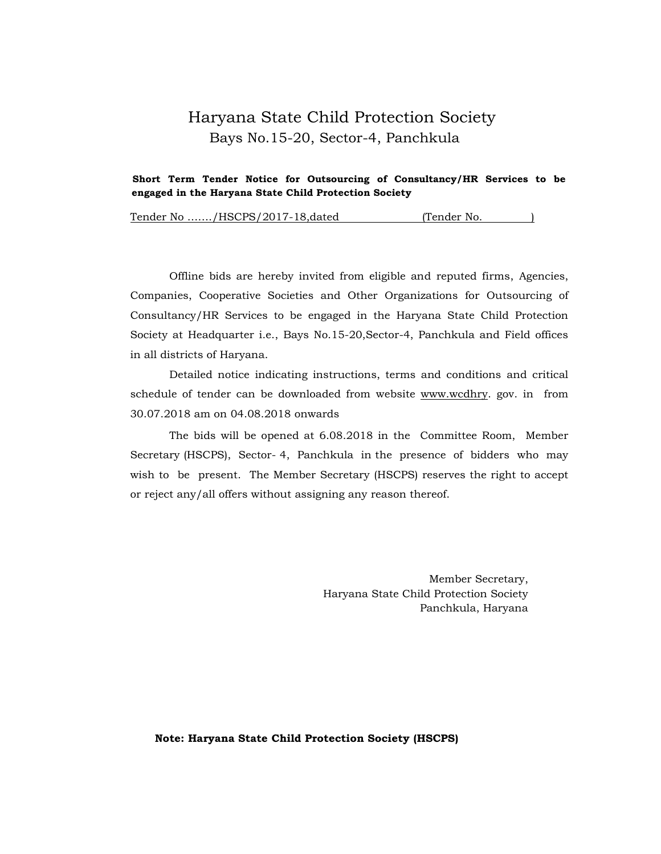# Bays No.15-20, Sector-4, Panchkula Haryana State Child Protection Society

 **Short Term Tender Notice for Outsourcing of Consultancy/HR Services to be engaged in the Haryana State Child Protection Society** 

Tender No ......./HSCPS/2017-18,dated (Tender No. )

 Offline bids are hereby invited from eligible and reputed firms, Agencies, Companies, Cooperative Societies and Other Organizations for Outsourcing of Consultancy/HR Services to be engaged in the Haryana State Child Protection Society at Headquarter i.e., Bays No.15-20,Sector-4, Panchkula and Field offices in all districts of Haryana.

 Detailed notice indicating instructions, terms and conditions and critical schedule of tender can be downloaded from website [www.wcdhry.](http://www.wcdhry/) gov. in from 30.07.2018 am on 04.08.2018 onwards

 The bids will be opened at 6.08.2018 in the Committee Room, Member Secretary (HSCPS), Sector- 4, Panchkula in the presence of bidders who may wish to be present. The Member Secretary (HSCPS) reserves the right to accept or reject any/all offers without assigning any reason thereof.

> Member Secretary, Haryana State Child Protection Society Panchkula, Haryana

#### **Note: Haryana State Child Protection Society (HSCPS)**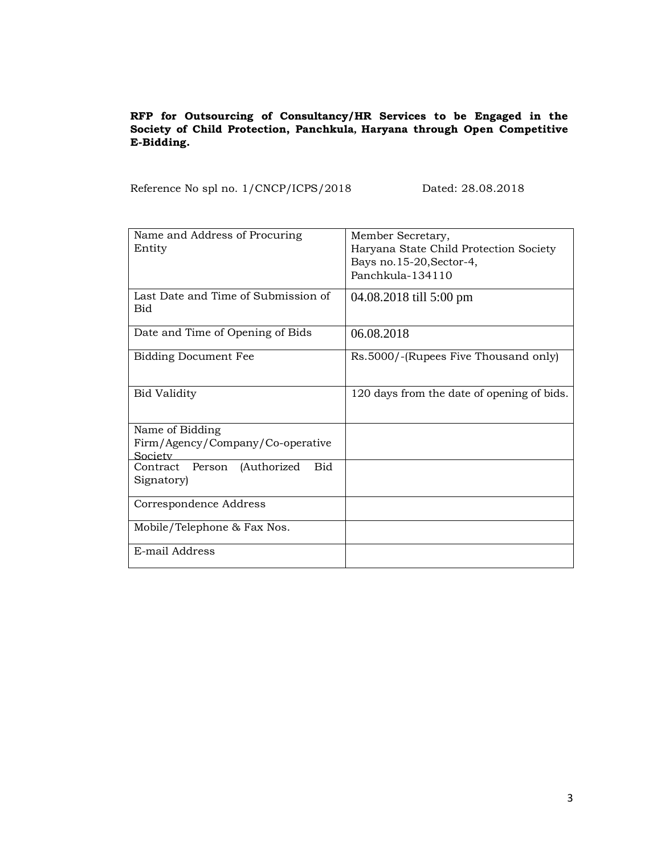# **RFP for Outsourcing of Consultancy/HR Services to be Engaged in the Society of Child Protection, Panchkula, Haryana through Open Competitive E-Bidding.**

Reference No spl no.  $1/CNCP/ICPS/2018$  Dated: 28.08.2018

| Name and Address of Procuring<br>Entity                        | Member Secretary,<br>Haryana State Child Protection Society<br>Bays no.15-20, Sector-4,<br>Panchkula- $134110$ |
|----------------------------------------------------------------|----------------------------------------------------------------------------------------------------------------|
| Last Date and Time of Submission of<br>Bid                     | 04.08.2018 till 5:00 pm                                                                                        |
| Date and Time of Opening of Bids                               | 06.08.2018                                                                                                     |
| <b>Bidding Document Fee</b>                                    | Rs.5000/-(Rupees Five Thousand only)                                                                           |
| Bid Validity                                                   | 120 days from the date of opening of bids.                                                                     |
| Name of Bidding<br>Firm/Agency/Company/Co-operative<br>Society |                                                                                                                |
| Contract Person (Authorized<br><b>Bid</b><br>Signatory)        |                                                                                                                |
| Correspondence Address                                         |                                                                                                                |
| Mobile/Telephone & Fax Nos.                                    |                                                                                                                |
| E-mail Address                                                 |                                                                                                                |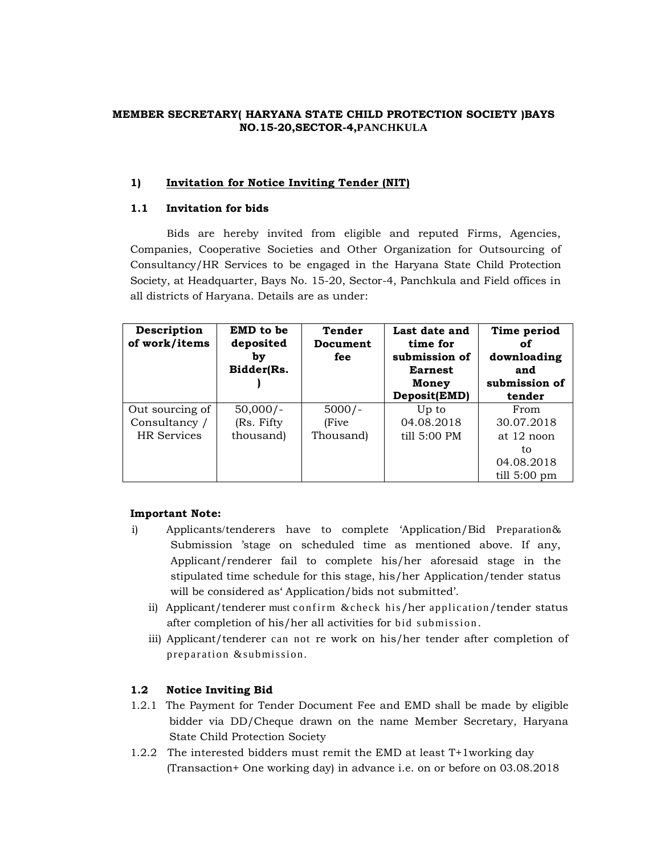# **MEMBER SECRETARY( HARYANA STATE CHILD PROTECTION SOCIETY )BAYS NO.15-20,SECTOR-4,PANCHKULA**

# 1) **Invitation for Notice Inviting Tender (NIT)**

# **1.1 Invitation for bids**

 Bids are hereby invited from eligible and reputed Firms, Agencies, Companies, Cooperative Societies and Other Organization for Outsourcing of Consultancy/HR Services to be engaged in the Haryana State Child Protection Society, at Headquarter, Bays No. 15-20, Sector-4, Panchkula and Field offices in all districts of Haryana. Details are as under:

| Description<br>of work/items | EMD to be<br>deposited<br>bv<br>Bidder(Rs. | Tender<br>Document<br>fee | Last date and<br>time for<br>submission of<br><b>Earnest</b><br>Money<br>Deposit(EMD) | Time period<br>оť<br>downloading<br>and<br>submission of<br>tender |
|------------------------------|--------------------------------------------|---------------------------|---------------------------------------------------------------------------------------|--------------------------------------------------------------------|
| Out sourcing of              | $50,000/-$                                 | $5000/-$                  | Up to                                                                                 | From                                                               |
| Consultancy /                | (Rs. Fifty                                 | (Five                     | 04.08.2018                                                                            | 30.07.2018                                                         |
| <b>HR</b> Services           | thousand)                                  | Thousand)                 | till 5:00 PM                                                                          | at $12$ noon                                                       |
|                              |                                            |                           |                                                                                       | to                                                                 |
|                              |                                            |                           |                                                                                       | 04.08.2018                                                         |
|                              |                                            |                           |                                                                                       | till $5:00 \text{ pm}$                                             |

# **Important Note:**

- i) Applicants/tenderers have to complete 'Application/Bid Preparation& Submission 'stage on scheduled time as mentioned above. If any, Applicant/renderer fail to complete his/her aforesaid stage in the stipulated time schedule for this stage, his/her Application/tender status will be considered as' Application/bids not submitted'.
	- ii) Applicant/tenderer must confirm & check his/her application/tender status after completion of his/her all activities for bid submission.
	- iii) Applicant/tenderer can not re work on his/her tender after completion of preparation & submission.

# **1.2 Notice Inviting Bid**

- 1.2.1 The Payment for Tender Document Fee and EMD shall be made by eligible bidder via DD/Cheque drawn on the name Member Secretary, Haryana **State Child Protection Society**
- State Child Protection Society 1.2.2 The interested bidders must remit the EMD at least T+1working day (Transaction+ One working day) in advance i.e. on or before on 03.08.2018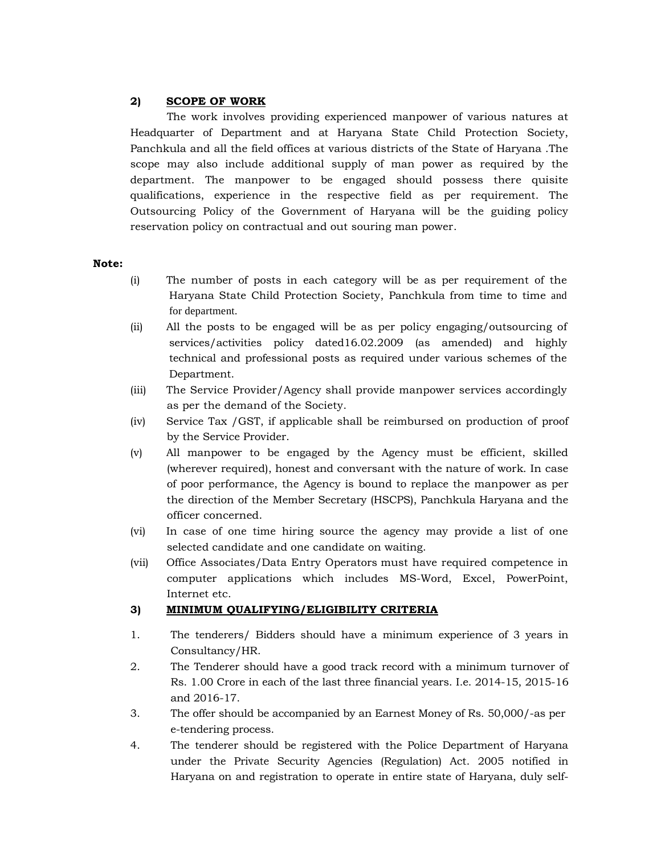# **2) SCOPE OF WORK**

 The work involves providing experienced manpower of various natures at Headquarter of Department and at Haryana State Child Protection Society, Panchkula and all the field offices at various districts of the State of Haryana .The scope may also include additional supply of man power as required by the department. The manpower to be engaged should possess there quisite qualifications, experience in the respective field as per requirement. The Outsourcing Policy of the Government of Haryana will be the guiding policy reservation policy on contractual and out souring man power.

# **Note:**

- (i) The number of posts in each category will be as per requirement of the Haryana State Child Protection Society, Panchkula from time to time and for department.
- (ii) All the posts to be engaged will be as per policy engaging/outsourcing of services/activities policy dated16.02.2009 (as amended) and highly technical and professional posts as required under various schemes of the Department.
- (iii) The Service Provider/Agency shall provide manpower services accordingly as per the demand of the Society.
- (iv) Service Tax /GST, if applicable shall be reimbursed on production of proof by the Service Provider.
- (v) All manpower to be engaged by the Agency must be efficient, skilled (wherever required), honest and conversant with the nature of work. In case of poor performance, the Agency is bound to replace the manpower as per the direction of the Member Secretary (HSCPS), Panchkula Haryana and the officer concerned.
- (vi) In case of one time hiring source the agency may provide a list of one selected candidate and one candidate on waiting.
- selected candidate and one candidate on waiting. (vii) Office Associates/Data Entry Operators must have required competence in computer applications which includes MS-Word, Excel, PowerPoint, Internet etc.

# **3) MINIMUM QUALIFYING/ELIGIBILITY CRITERIA**

- 1. 1. The tenderers/ Bidders should have a minimum experience of 3 years in Consultancy/HR.
- 2. Rs. 1.00 Crore in each of the last three financial years. I.e. 2014-15, 2015-16 and 2016-17. The Tenderer should have a good track record with a minimum turnover of
- 3. e-tendering process. 3. The offer should be accompanied by an Earnest Money of Rs. 50,000/-as per
- $4.$  under the Private Security Agencies (Regulation) Act. 2005 notified in Haryana on and registration to operate in entire state of Haryana, duly self-The tenderer should be registered with the Police Department of Haryana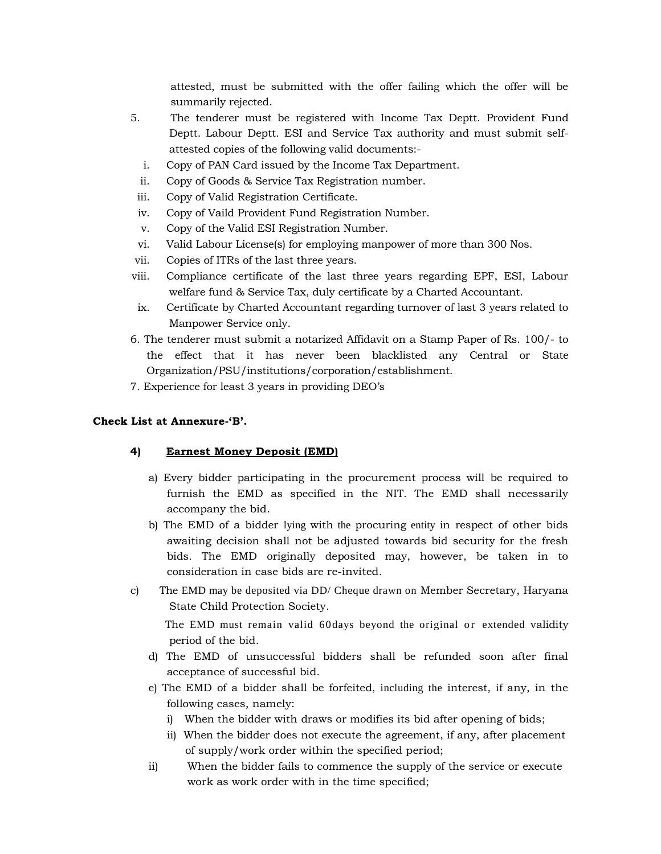attested, must be submitted with the offer failing which the offer will be summarily rejected.

- 5. Deptt. Labour Deptt. ESI and Service Tax authority and must submit self- attested copies of the following valid documents:- 5. The tenderer must be registered with Income Tax Deptt. Provident Fund
	- i. Copy of PAN Card issued by the Income Tax Department.
	- ii. Copy of Goods & Service Tax Registration number.
	- iii. Copy of Valid Registration Certificate.
	- iv. Copy of Vaild Provident Fund Registration Number.
	- v. Copy of the Valid ESI Registration Number.
	- vi. Valid Labour License(s) for employing manpower of more than 300 Nos.
- vii. Copies of ITRs of the last three years.
- viii. Compliance certificate of the last three years regarding EPF, ESI, Labour welfare fund & Service Tax, duly certificate by a Charted Accountant.
- ix. Certificate by Charted Accountant regarding turnover of last 3 years related to Manpower Service only.
- 6. The tenderer must submit a notarized Affidavit on a Stamp Paper of Rs. 100/- to the effect that it has never been blacklisted any Central or State Organization/PSU/institutions/corporation/establishment.
- 7. Experience for least 3 years in providing DEO's

# **Check List at Annexure-'B'.**

# **4) Earnest Money Deposit (EMD)**

- a) Every bidder participating in the procurement process will be required to furnish the EMD as specified in the NIT. The EMD shall necessarily accompany the bid.
- b) The EMD of a bidder lying with the procuring entity in respect of other bids awaiting decision shall not be adjusted towards bid security for the fresh bids. The EMD originally deposited may, however, be taken in to consideration in case bids are re-invited.
- $\mathbf{c}$ The EMD may be deposited via DD/ Cheque drawn on Member Secretary, Haryana State Child Protection Society.

 period of the bid. The EMD must remain valid 60days beyond the original or extended validity

- d) The EMD of unsuccessful bidders shall be refunded soon after final acceptance of successful bid.
- e) The EMD of a bidder shall be forfeited, including the interest, if any, in the following cases, namely:
	- i) When the bidder with draws or modifies its bid after opening of bids;
	- ii) When the bidder does not execute the agreement, if any, after placement of supply/work order within the specified period;
- ii) When the bidder fails to commence the supply of the service or execute work as work order with in the time specified;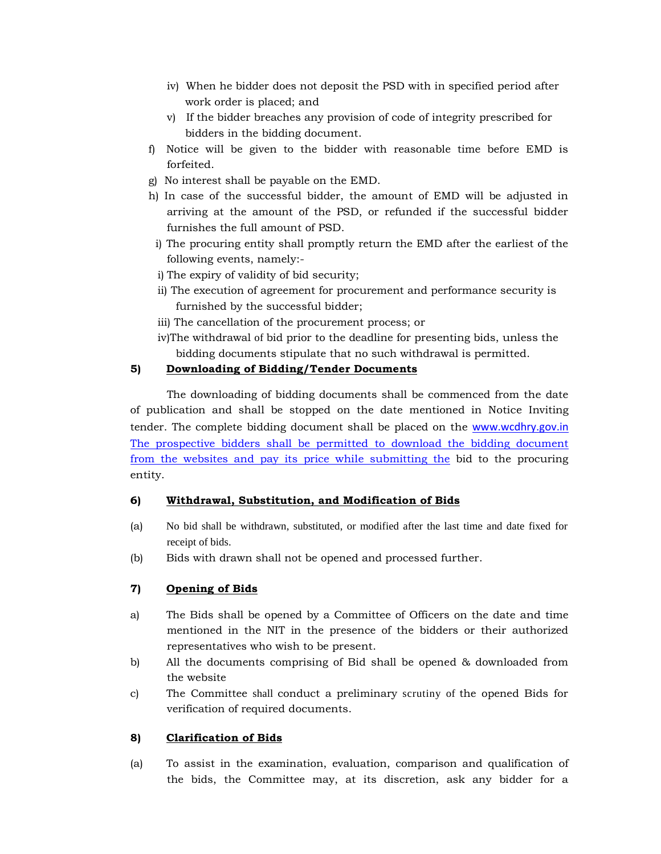- iv) When he bidder does not deposit the PSD with in specified period after work order is placed; and
- v) If the bidder breaches any provision of code of integrity prescribed for bidders in the bidding document.
- f) Notice will be given to the bidder with reasonable time before EMD is forfeited.
- g) No interest shall be payable on the EMD.
- h) In case of the successful bidder, the amount of EMD will be adjusted in arriving at the amount of the PSD, or refunded if the successful bidder furnishes the full amount of PSD.
- following events, namely: i) The procuring entity shall promptly return the EMD after the earliest of the
- i) The expiry of validity of bid security;
- ii) The execution of agreement for procurement and performance security is furnished by the successful bidder;
- iii) The cancellation of the procurement process; or
- iv)The withdrawal of bid prior to the deadline for presenting bids, unless the bidding documents stipulate that no such withdrawal is permitted.

# **5) Downloading of Bidding/Tender Documents**

 The downloading of bidding documents shall be commenced from the date of publication and shall be stopped on the date mentioned in Notice Inviting tender. The complete bidding document shall be placed on the www.wcdhry.gov.in from the websites and pay its price while submitting the bid to the procuring The prospective bidders shall be permitted to download the bidding document entity.

# **6) Withdrawal, Substitution, and Modification of Bids**

- $(a)$ No bid shall be withdrawn, substituted, or modified after the last time and date fixed for receipt of bids.
- (b) Bids with drawn shall not be opened and processed further.

# **7) Opening of Bids**

- a) The Bids shall be opened by a Committee of Officers on the date and time mentioned in the NIT in the presence of the bidders or their authorized representatives who wish to be present.
- b) All the documents comprising of Bid shall be opened & downloaded from the website
- $\mathbf{c}$  verification of required documents. The Committee shall conduct a preliminary scrutiny of the opened Bids for

# **8) Clarification of Bids**

 (a) To assist in the examination, evaluation, comparison and qualification of the bids, the Committee may, at its discretion, ask any bidder for a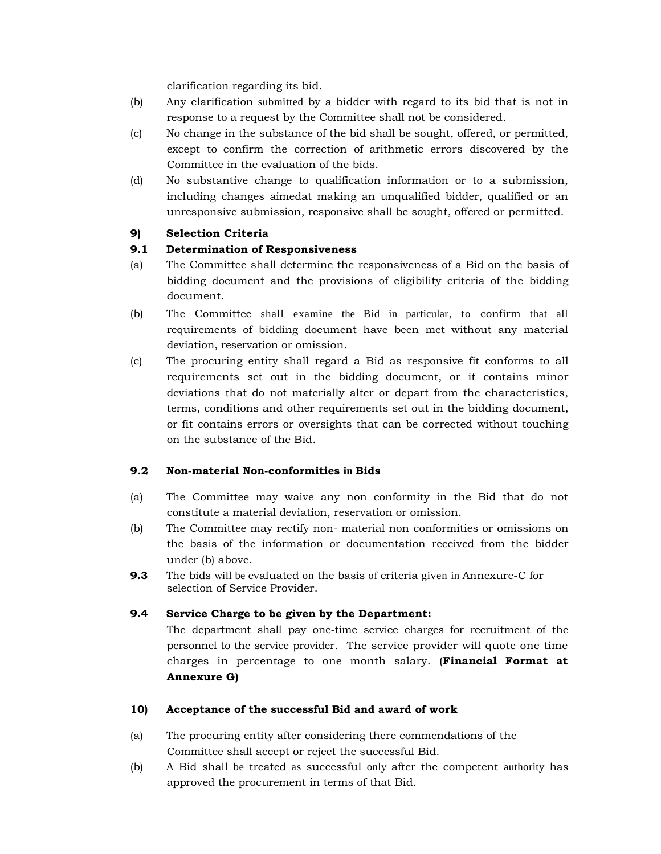clarification regarding its bid.

- (b) Any clarification submitted by a bidder with regard to its bid that is not in response to a request by the Committee shall not be considered.
- (c) No change in the substance of the bid shall be sought, offered, or permitted, except to confirm the correction of arithmetic errors discovered by the Committee in the evaluation of the bids.
- (d) No substantive change to qualification information or to a submission, including changes aimedat making an unqualified bidder, qualified or an unresponsive submission, responsive shall be sought, offered or permitted.

# **9) Selection Criteria**

# **9.1 Determination of Responsiveness**

- (a) The Committee shall determine the responsiveness of a Bid on the basis of bidding document and the provisions of eligibility criteria of the bidding document.
- (b) The Committee shall examine the Bid in particular, to confirm that all requirements of bidding document have been met without any material deviation, reservation or omission.
- (c) The procuring entity shall regard a Bid as responsive fit conforms to all requirements set out in the bidding document, or it contains minor deviations that do not materially alter or depart from the characteristics, terms, conditions and other requirements set out in the bidding document, or fit contains errors or oversights that can be corrected without touching on the substance of the Bid.

# **9.2 Non-material Non-conformities in Bids**

- (a) The Committee may waive any non conformity in the Bid that do not constitute a material deviation, reservation or omission.
- (b) The Committee may rectify non- material non conformities or omissions on the basis of the information or documentation received from the bidder under (b) above.
- **9.3** The bids will be evaluated on the basis of criteria given in Annexure-C for selection of Service Provider.

# **9.4 Service Charge to be given by the Department:**

 The department shall pay one-time service charges for recruitment of the personnel to the service provider. The service provider will quote one time charges in percentage to one month salary. (**Financial Format at Annexure G)** 

# **10) Acceptance of the successful Bid and award of work**

- (a) The procuring entity after considering there commendations of the Committee shall accept or reject the successful Bid.
- (b) A Bid shall be treated as successful only after the competent authority has approved the procurement in terms of that Bid.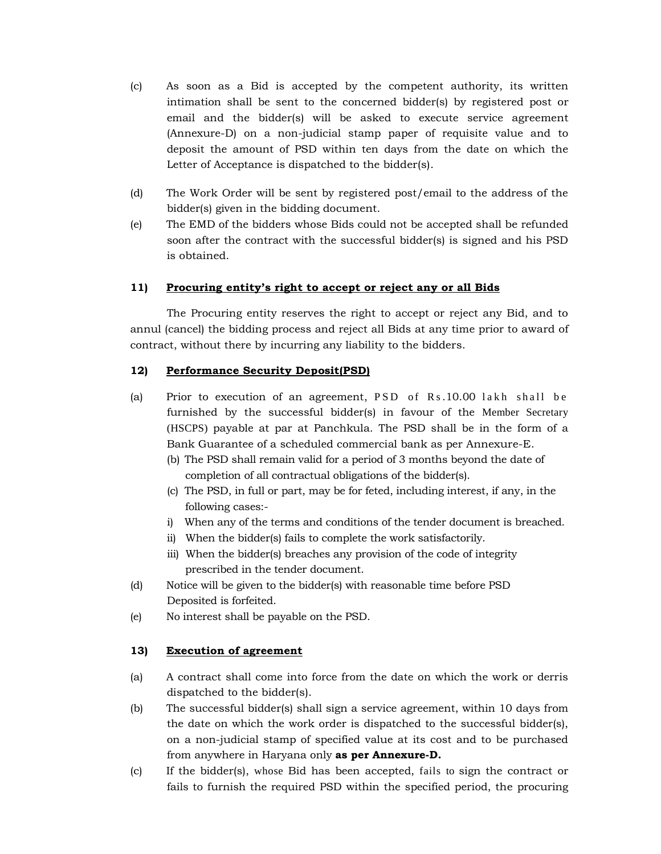- (c) As soon as a Bid is accepted by the competent authority, its written intimation shall be sent to the concerned bidder(s) by registered post or email and the bidder(s) will be asked to execute service agreement (Annexure-D) on a non-judicial stamp paper of requisite value and to deposit the amount of PSD within ten days from the date on which the Letter of Acceptance is dispatched to the bidder(s).
- (d) The Work Order will be sent by registered post/email to the address of the bidder(s) given in the bidding document.
- (e) The EMD of the bidders whose Bids could not be accepted shall be refunded soon after the contract with the successful bidder(s) is signed and his PSD is obtained.

# **11) Procuring entity's right to accept or reject any or all Bids**

 The Procuring entity reserves the right to accept or reject any Bid, and to annul (cancel) the bidding process and reject all Bids at any time prior to award of contract, without there by incurring any liability to the bidders.

# **12) Performance Security Deposit(PSD)**

- (a) Prior to execution of an agreement,  $PSD$  of  $Rs.10.00$  lakh shall be furnished by the successful bidder(s) in favour of the Member Secretary (HSCPS) payable at par at Panchkula. The PSD shall be in the form of a Bank Guarantee of a scheduled commercial bank as per Annexure-E.
	- (b) The PSD shall remain valid for a period of 3 months beyond the date of completion of all contractual obligations of the bidder(s).
	- (c) The PSD, in full or part, may be for feted, including interest, if any, in the following cases:-
	- i) When any of the terms and conditions of the tender document is breached.
	- ii) When the bidder(s) fails to complete the work satisfactorily.
	- iii) When the bidder(s) breaches any provision of the code of integrity prescribed in the tender document.
- $(d)$  Deposited is forfeited. Notice will be given to the bidder(s) with reasonable time before PSD
- $(e)$ No interest shall be payable on the PSD.

# 13) Execution of agreement

- (a) A contract shall come into force from the date on which the work or derris dispatched to the bidder(s).
- (b) The successful bidder(s) shall sign a service agreement, within 10 days from the date on which the work order is dispatched to the successful bidder(s), on a non-judicial stamp of specified value at its cost and to be purchased from anywhere in Haryana only **as per Annexure-D.**
- (c) If the bidder(s), whose Bid has been accepted, fails to sign the contract or fails to furnish the required PSD within the specified period, the procuring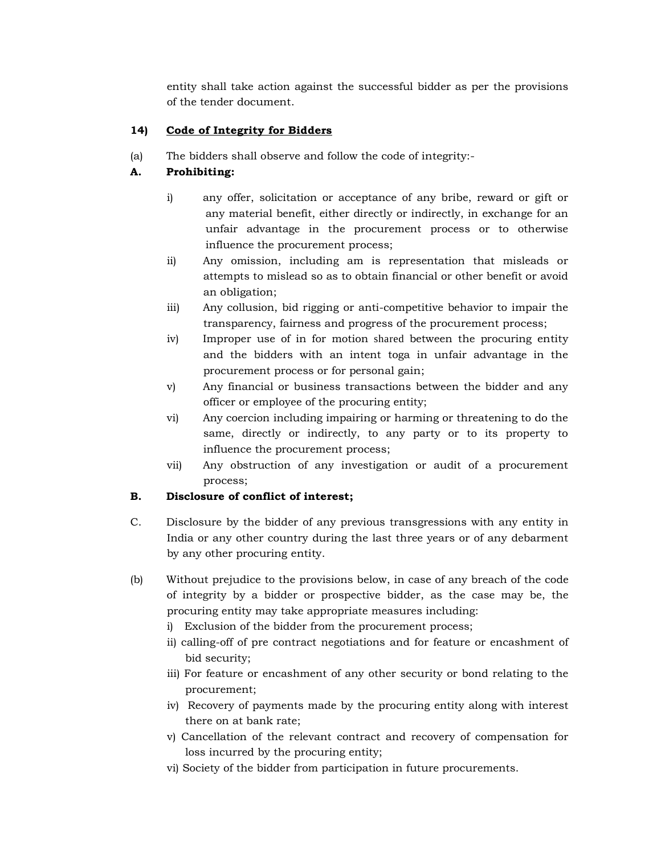entity shall take action against the successful bidder as per the provisions of the tender document.

# **14) Code of Integrity for Bidders**

(a) The bidders shall observe and follow the code of integrity:-

# **A. Prohibiting:**

- i) any offer, solicitation or acceptance of any bribe, reward or gift or any material benefit, either directly or indirectly, in exchange for an unfair advantage in the procurement process or to otherwise influence the procurement process;
- ii) Any omission, including am is representation that misleads or attempts to mislead so as to obtain financial or other benefit or avoid an obligation;
- iii) Any collusion, bid rigging or anti-competitive behavior to impair the transparency, fairness and progress of the procurement process;
- iv) Improper use of in for motion shared between the procuring entity and the bidders with an intent toga in unfair advantage in the procurement process or for personal gain;
- v) Any financial or business transactions between the bidder and any officer or employee of the procuring entity;
- vi) Any coercion including impairing or harming or threatening to do the same, directly or indirectly, to any party or to its property to influence the procurement process;
- vii) Any obstruction of any investigation or audit of a procurement process;

# **B. Disclosure of conflict of interest;**

- C. Disclosure by the bidder of any previous transgressions with any entity in India or any other country during the last three years or of any debarment by any other procuring entity.
- (b) Without prejudice to the provisions below, in case of any breach of the code of integrity by a bidder or prospective bidder, as the case may be, the procuring entity may take appropriate measures including:
	- i) Exclusion of the bidder from the procurement process;
	- ii) calling-off of pre contract negotiations and for feature or encashment of bid security;
	- iii) For feature or encashment of any other security or bond relating to the procurement;
	- iv) Recovery of payments made by the procuring entity along with interest there on at bank rate;
	- v) Cancellation of the relevant contract and recovery of compensation for loss incurred by the procuring entity;
	- vi) Society of the bidder from participation in future procurements.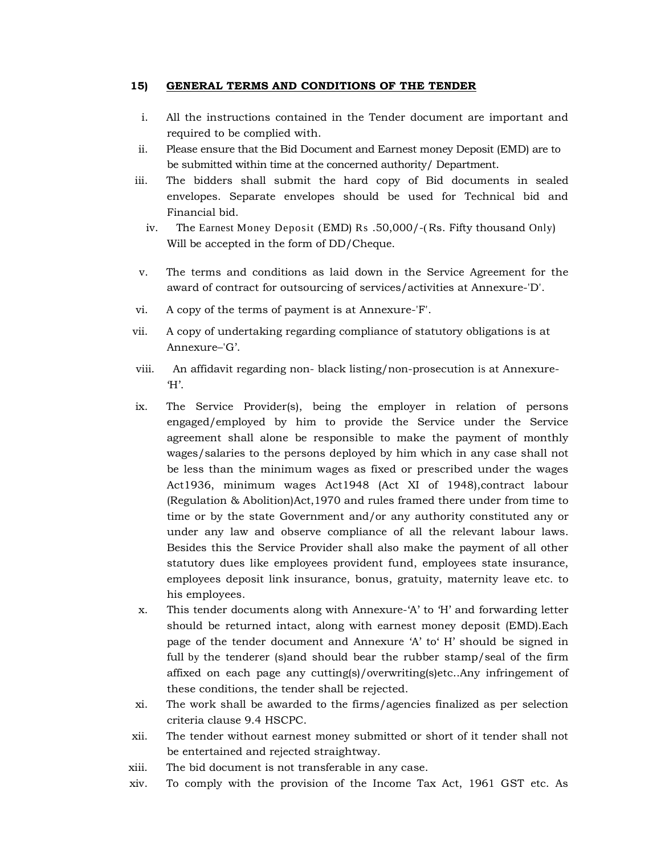# 15) GENERAL TERMS AND CONDITIONS OF THE TENDER

- i. All the instructions contained in the Tender document are important and required to be complied with.
- ii. Please ensure that the Bid Document and Earnest money Deposit (EMD) are to be submitted within time at the concerned authority/ Department.
- iii. The bidders shall submit the hard copy of Bid documents in sealed envelopes. Separate envelopes should be used for Technical bid and Financial bid.
	- iv. The Earnest Money Deposit (EMD) Rs .50,000/-(Rs. Fifty thousand Only) Will be accepted in the form of DD/Cheque.
- v. The terms and conditions as laid down in the Service Agreement for the award of contract for outsourcing of services/activities at Annexure-'D'.
- vi. A copy of the terms of payment is at Annexure-'F'.
- vii. A copy of undertaking regarding compliance of statutory obligations is at Annexure–'G'.
- viii. An affidavit regarding non- black listing/non-prosecution is at Annexure-  $H$ .
- ix. The Service Provider(s), being the employer in relation of persons engaged/employed by him to provide the Service under the Service agreement shall alone be responsible to make the payment of monthly wages/salaries to the persons deployed by him which in any case shall not be less than the minimum wages as fixed or prescribed under the wages Act1936, minimum wages Act1948 (Act XI of 1948),contract labour (Regulation & Abolition)Act,1970 and rules framed there under from time to time or by the state Government and/or any authority constituted any or under any law and observe compliance of all the relevant labour laws. Besides this the Service Provider shall also make the payment of all other statutory dues like employees provident fund, employees state insurance, employees deposit link insurance, bonus, gratuity, maternity leave etc. to his employees.
- x. This tender documents along with Annexure-'A' to 'H' and forwarding letter should be returned intact, along with earnest money deposit (EMD).Each page of the tender document and Annexure 'A' to' H' should be signed in full by the tenderer (s)and should bear the rubber stamp/seal of the firm affixed on each page any cutting(s)/overwriting(s)etc..Any infringement of these conditions, the tender shall be rejected.
- xi. The work shall be awarded to the firms/agencies finalized as per selection criteria clause 9.4 HSCPC.
- xii. The tender without earnest money submitted or short of it tender shall not be entertained and rejected straightway.
- xiii. The bid document is not transferable in any case.
- xiv. To comply with the provision of the Income Tax Act, 1961 GST etc. As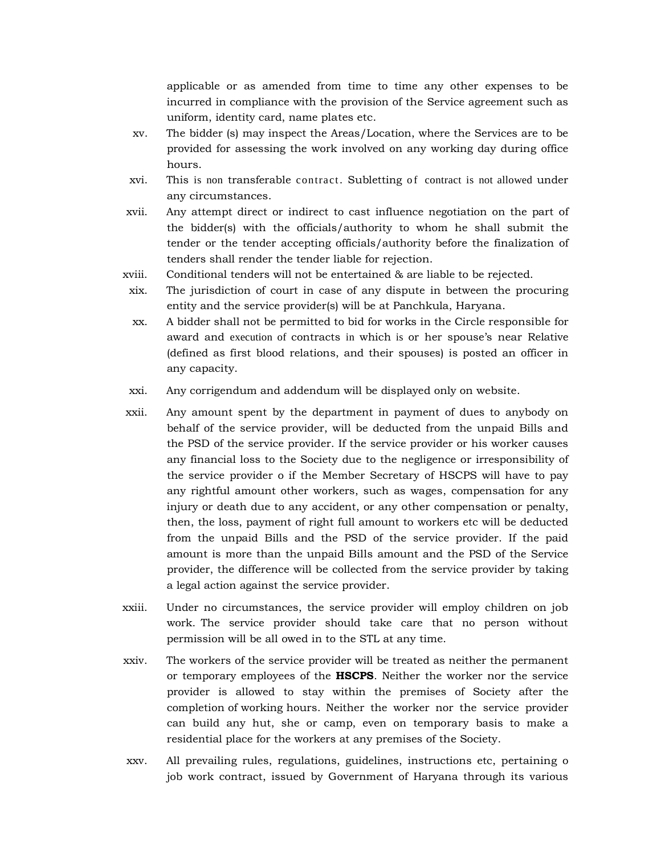applicable or as amended from time to time any other expenses to be incurred in compliance with the provision of the Service agreement such as uniform, identity card, name plates etc.

- xv. The bidder (s) may inspect the Areas/Location, where the Services are to be provided for assessing the work involved on any working day during office hours.
- xvi. This is non transferable contract. Subletting of contract is not allowed under any circumstances.
- xvii. Any attempt direct or indirect to cast influence negotiation on the part of the bidder(s) with the officials/authority to whom he shall submit the tender or the tender accepting officials/authority before the finalization of tenders shall render the tender liable for rejection.
- xviii. Conditional tenders will not be entertained & are liable to be rejected.
- xix. The jurisdiction of court in case of any dispute in between the procuring entity and the service provider(s) will be at Panchkula, Haryana.
- xx. A bidder shall not be permitted to bid for works in the Circle responsible for award and execution of contracts in which is or her spouse's near Relative (defined as first blood relations, and their spouses) is posted an officer in any capacity.
- xxi. Any corrigendum and addendum will be displayed only on website.
- xxii. behalf of the service provider, will be deducted from the unpaid Bills and the PSD of the service provider. If the service provider or his worker causes any financial loss to the Society due to the negligence or irresponsibility of the service provider o if the Member Secretary of HSCPS will have to pay any rightful amount other workers, such as wages, compensation for any injury or death due to any accident, or any other compensation or penalty, then, the loss, payment of right full amount to workers etc will be deducted from the unpaid Bills and the PSD of the service provider. If the paid amount is more than the unpaid Bills amount and the PSD of the Service provider, the difference will be collected from the service provider by taking a legal action against the service provider. Any amount spent by the department in payment of dues to anybody on
- xxiii. Under no circumstances, the service provider will employ children on job work. The service provider should take care that no person without permission will be all owed in to the STL at any time.
- xxiv. The workers of the service provider will be treated as neither the permanent or temporary employees of the **HSCPS**. Neither the worker nor the service provider is allowed to stay within the premises of Society after the completion of working hours. Neither the worker nor the service provider can build any hut, she or camp, even on temporary basis to make a residential place for the workers at any premises of the Society.
- xxv. All prevailing rules, regulations, guidelines, instructions etc, pertaining o job work contract, issued by Government of Haryana through its various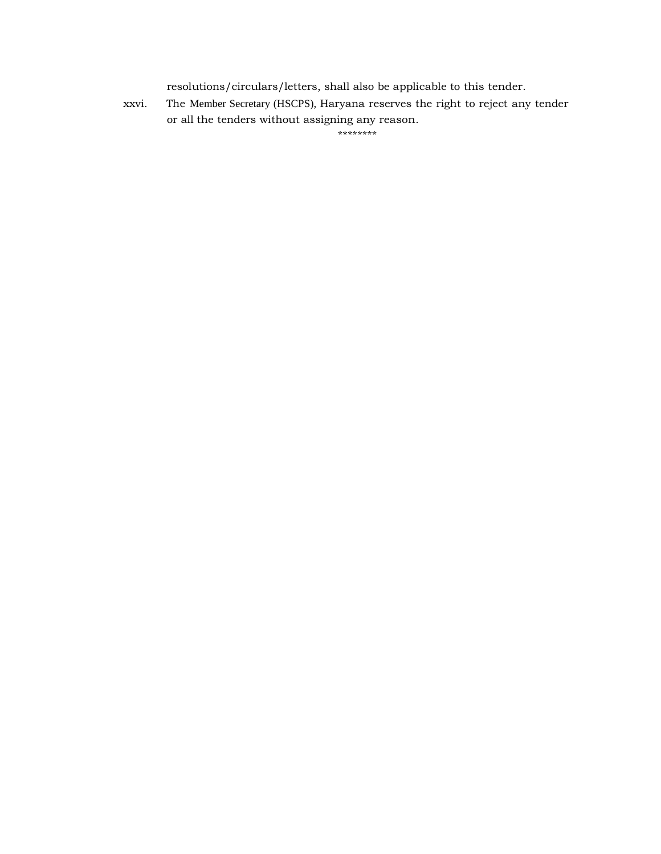resolutions/circulars/letters, shall also be applicable to this tender.

 xxvi. The Member Secretary (HSCPS), Haryana reserves the right to reject any tender or all the tenders without assigning any reason.

\*\*\*\*\*\*\*\*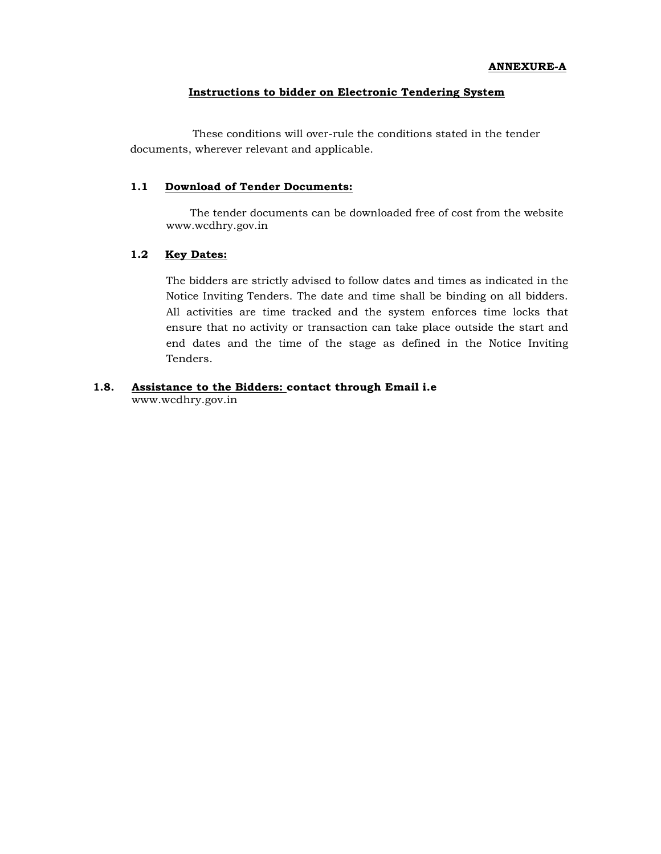# **Instructions to bidder on Electronic Tendering System**

 documents, wherever relevant and applicable. These conditions will over-rule the conditions stated in the tender

# **1.1 Download of Tender Documents:**

The tender documents can be downloaded free of cost from the website <www.wcdhry.gov.in>

# **1.2 Key Dates:**

 The bidders are strictly advised to follow dates and times as indicated in the Notice Inviting Tenders. The date and time shall be binding on all bidders. All activities are time tracked and the system enforces time locks that ensure that no activity or transaction can take place outside the start and end dates and the time of the stage as defined in the Notice Inviting Tenders.

# **1.8. Assistance to the Bidders: contact through Email i.e**

 [www.wcdhry.gov.in](http://www.wcdhry.gov.in/)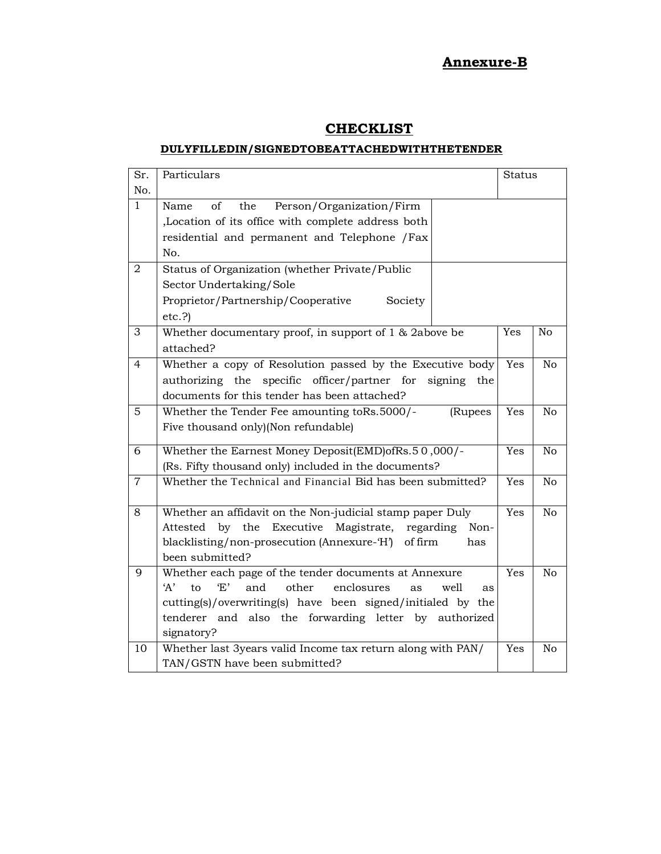# **CHECKLIST**

# **DULYFILLEDIN/SIGNEDTOBEATTACHEDWITHTHETENDER**

| Sr.            | Particulars                                                     | <b>Status</b> |                |
|----------------|-----------------------------------------------------------------|---------------|----------------|
| No.            |                                                                 |               |                |
| $\mathbf{1}$   | of<br>Person/Organization/Firm<br>Name<br>the                   |               |                |
|                | , Location of its office with complete address both             |               |                |
|                | residential and permanent and Telephone /Fax                    |               |                |
|                | No.                                                             |               |                |
| $\overline{a}$ | Status of Organization (whether Private/Public                  |               |                |
|                | Sector Undertaking/Sole                                         |               |                |
|                | Proprietor/Partnership/Cooperative<br>Society                   |               |                |
|                | $etc.$ ?)                                                       |               |                |
| 3              | Whether documentary proof, in support of $1 \& 2$ above be      | Yes           | No             |
|                | attached?                                                       |               |                |
| 4              | Whether a copy of Resolution passed by the Executive body       | Yes           | N <sub>0</sub> |
|                | authorizing the specific officer/partner for<br>signing the     |               |                |
|                | documents for this tender has been attached?                    |               |                |
| 5              | Whether the Tender Fee amounting toRs.5000/-<br>(Rupees         | Yes           | No             |
|                | Five thousand only)(Non refundable)                             |               |                |
| 6              | Whether the Earnest Money Deposit(EMD)ofRs.50,000/-             | Yes           | N <sub>o</sub> |
|                | (Rs. Fifty thousand only) included in the documents?            |               |                |
| $\overline{7}$ | Whether the Technical and Financial Bid has been submitted?     | Yes           | No             |
|                |                                                                 |               |                |
| 8              | Whether an affidavit on the Non-judicial stamp paper Duly       | Yes           | No             |
|                | by the<br>Executive Magistrate, regarding<br>Attested<br>Non-   |               |                |
|                | blacklisting/non-prosecution (Annexure-'H') of firm<br>has      |               |                |
|                | been submitted?                                                 |               |                |
| 9              | Whether each page of the tender documents at Annexure           | Yes           | No             |
|                | A<br>to<br>E'<br>other<br>enclosures<br>and<br>well<br>as<br>as |               |                |
|                | cutting(s)/overwriting(s) have been signed/initialed by the     |               |                |
|                | tenderer and also the forwarding letter by authorized           |               |                |
|                | signatory?                                                      |               |                |
| 10             | Whether last 3years valid Income tax return along with PAN/     | Yes           | No             |
|                | TAN/GSTN have been submitted?                                   |               |                |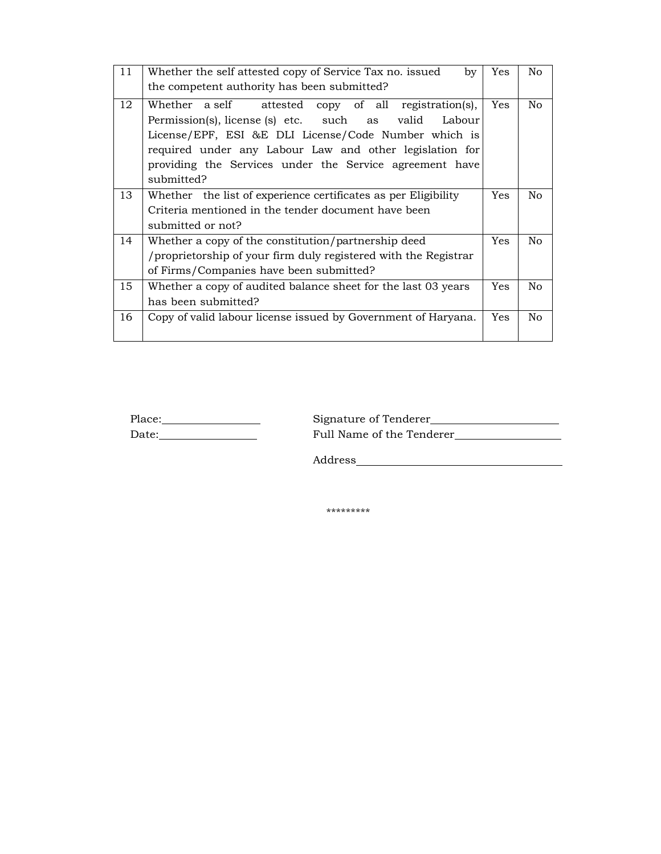| 11 | Whether the self attested copy of Service Tax no. issued<br>by  | Yes        | No             |
|----|-----------------------------------------------------------------|------------|----------------|
|    | the competent authority has been submitted?                     |            |                |
| 12 | Whether a self attested copy of all registration(s),            | Yes.       | No             |
|    | Permission(s), license (s) etc. such as valid<br>Labour         |            |                |
|    | License/EPF, ESI & EDLI License/Code Number which is            |            |                |
|    | required under any Labour Law and other legislation for         |            |                |
|    | providing the Services under the Service agreement have         |            |                |
|    | submitted?                                                      |            |                |
| 13 | Whether the list of experience certificates as per Eligibility  | <b>Yes</b> | N <sub>0</sub> |
|    | Criteria mentioned in the tender document have been             |            |                |
|    | submitted or not?                                               |            |                |
| 14 | Whether a copy of the constitution/partnership deed             | <b>Yes</b> | No             |
|    | /proprietorship of your firm duly registered with the Registrar |            |                |
|    | of Firms/Companies have been submitted?                         |            |                |
| 15 | Whether a copy of audited balance sheet for the last 03 years   | Yes.       | No             |
|    | has been submitted?                                             |            |                |
| 16 | Copy of valid labour license issued by Government of Haryana.   | Yes        | N <sub>0</sub> |
|    |                                                                 |            |                |

| Place: | Signature of Tenderer     |
|--------|---------------------------|
| Date:  | Full Name of the Tenderer |

Address

\*\*\*\*\*\*\*\*\*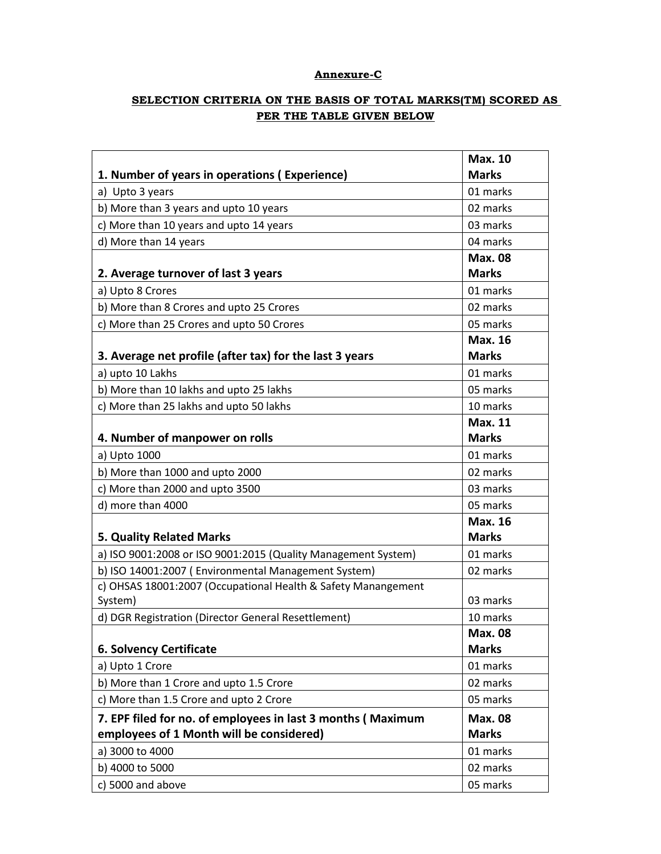# **Annexure-C**

# **SELECTION CRITERIA ON THE BASIS OF TOTAL MARKS(TM) SCORED AS PER THE TABLE GIVEN BELOW**

|                                                               | <b>Max. 10</b> |
|---------------------------------------------------------------|----------------|
| 1. Number of years in operations (Experience)                 | <b>Marks</b>   |
| a) Upto 3 years                                               | 01 marks       |
| b) More than 3 years and upto 10 years                        | 02 marks       |
| c) More than 10 years and upto 14 years                       | 03 marks       |
| d) More than 14 years                                         | 04 marks       |
|                                                               | <b>Max. 08</b> |
| 2. Average turnover of last 3 years                           | <b>Marks</b>   |
| a) Upto 8 Crores                                              | 01 marks       |
| b) More than 8 Crores and upto 25 Crores                      | 02 marks       |
| c) More than 25 Crores and upto 50 Crores                     | 05 marks       |
|                                                               | <b>Max. 16</b> |
| 3. Average net profile (after tax) for the last 3 years       | <b>Marks</b>   |
| a) upto 10 Lakhs                                              | 01 marks       |
| b) More than 10 lakhs and upto 25 lakhs                       | 05 marks       |
| c) More than 25 lakhs and upto 50 lakhs                       | 10 marks       |
|                                                               | <b>Max. 11</b> |
| 4. Number of manpower on rolls                                | <b>Marks</b>   |
| a) Upto 1000                                                  | 01 marks       |
| b) More than 1000 and upto 2000                               | 02 marks       |
| c) More than 2000 and upto 3500                               | 03 marks       |
| d) more than 4000                                             | 05 marks       |
|                                                               | <b>Max. 16</b> |
| <b>5. Quality Related Marks</b>                               | <b>Marks</b>   |
| a) ISO 9001:2008 or ISO 9001:2015 (Quality Management System) | 01 marks       |
| b) ISO 14001:2007 (Environmental Management System)           | 02 marks       |
| c) OHSAS 18001:2007 (Occupational Health & Safety Manangement |                |
| System)                                                       | 03 marks       |
| d) DGR Registration (Director General Resettlement)           | 10 marks       |
|                                                               | <b>Max. 08</b> |
| 6. Solvency Certificate                                       | <b>Marks</b>   |
| a) Upto 1 Crore                                               | 01 marks       |
| b) More than 1 Crore and upto 1.5 Crore                       | 02 marks       |
| c) More than 1.5 Crore and upto 2 Crore                       | 05 marks       |
| 7. EPF filed for no. of employees in last 3 months (Maximum   | <b>Max. 08</b> |
| employees of 1 Month will be considered)                      | <b>Marks</b>   |
| a) 3000 to 4000                                               | 01 marks       |
| b) 4000 to 5000                                               | 02 marks       |
| c) 5000 and above                                             | 05 marks       |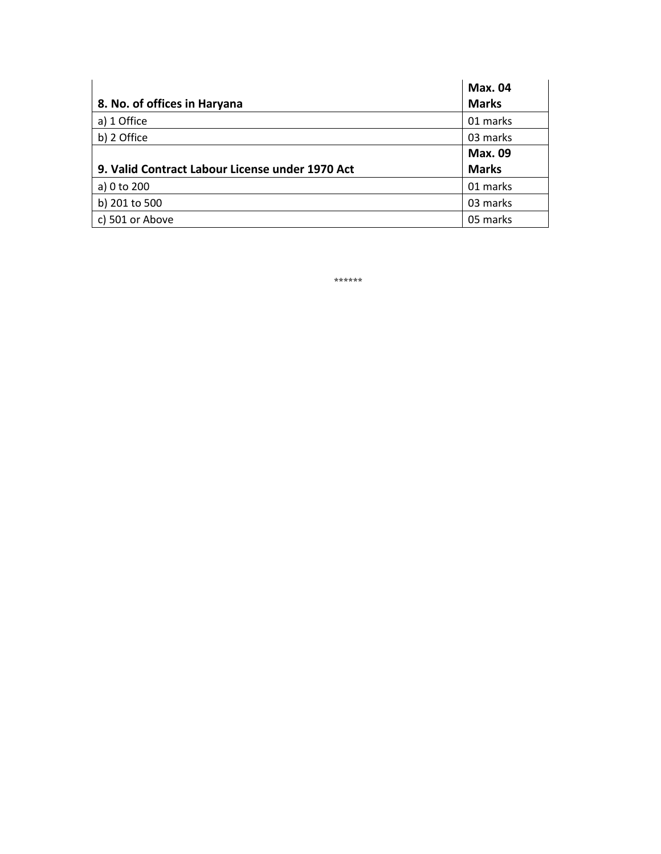| 8. No. of offices in Haryana                    | <b>Max. 04</b><br><b>Marks</b> |
|-------------------------------------------------|--------------------------------|
|                                                 |                                |
| a) 1 Office                                     | 01 marks                       |
| b) 2 Office                                     | 03 marks                       |
|                                                 | <b>Max. 09</b>                 |
| 9. Valid Contract Labour License under 1970 Act | <b>Marks</b>                   |
| a) 0 to 200                                     | 01 marks                       |
| b) 201 to 500                                   | 03 marks                       |
| c) 501 or Above                                 | 05 marks                       |

\*\*\*\*\*\*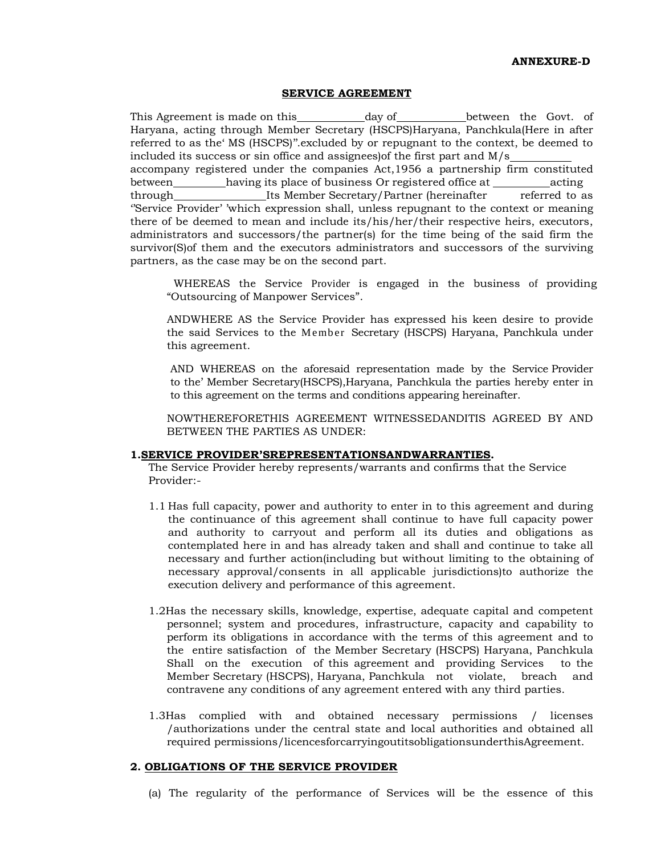### **ANNEXURE-D**

#### **SERVICE AGREEMENT**

This Agreement is made on this day of between the Govt. of Haryana, acting through Member Secretary (HSCPS)Haryana, Panchkula(Here in after referred to as the' MS (HSCPS)''.excluded by or repugnant to the context, be deemed to included its success or sin office and assignees)of the first part and M/s accompany registered under the companies Act,1956 a partnership firm constituted between having its place of business Or registered office at having acting  $\ddot{\phantom{a}}$  ''Service Provider' 'which expression shall, unless repugnant to the context or meaning there of be deemed to mean and include its/his/her/their respective heirs, executors, administrators and successors/the partner(s) for the time being of the said firm the survivor(S)of them and the executors administrators and successors of the surviving partners, as the case may be on the second part. through Its Member Secretary/Partner (hereinafter referred to as

 "Outsourcing of Manpower Services". WHEREAS the Service Provider is engaged in the business of providing

 ANDWHERE AS the Service Provider has expressed his keen desire to provide the said Services to the Member Secretary (HSCPS) Haryana, Panchkula under this agreement.

 AND WHEREAS on the aforesaid representation made by the Service Provider to the' Member Secretary(HSCPS),Haryana, Panchkula the parties hereby enter in to this agreement on the terms and conditions appearing hereinafter.

 NOWTHEREFORETHIS AGREEMENT WITNESSEDANDITIS AGREED BY AND BETWEEN THE PARTIES AS UNDER:

#### **1.SERVICE PROVIDER'SREPRESENTATIONSANDWARRANTIES.**

 The Service Provider hereby represents/warrants and confirms that the Service Provider:-

- 1.1 Has full capacity, power and authority to enter in to this agreement and during the continuance of this agreement shall continue to have full capacity power and authority to carryout and perform all its duties and obligations as contemplated here in and has already taken and shall and continue to take all necessary and further action(including but without limiting to the obtaining of necessary approval/consents in all applicable jurisdictions)to authorize the execution delivery and performance of this agreement.
- 1.2Has the necessary skills, knowledge, expertise, adequate capital and competent personnel; system and procedures, infrastructure, capacity and capability to perform its obligations in accordance with the terms of this agreement and to the entire satisfaction of the Member Secretary (HSCPS) Haryana, Panchkula Shall on the execution of this agreement and providing Services to the Member Secretary (HSCPS), Haryana, Panchkula not violate, breach and contravene any conditions of any agreement entered with any third parties.
- 1.3Has complied with and obtained necessary permissions / licenses /authorizations under the central state and local authorities and obtained all required permissions/licencesforcarryingoutitsobligationsunderthisAgreement.

#### **2. OBLIGATIONS OF THE SERVICE PROVIDER**

(a) The regularity of the performance of Services will be the essence of this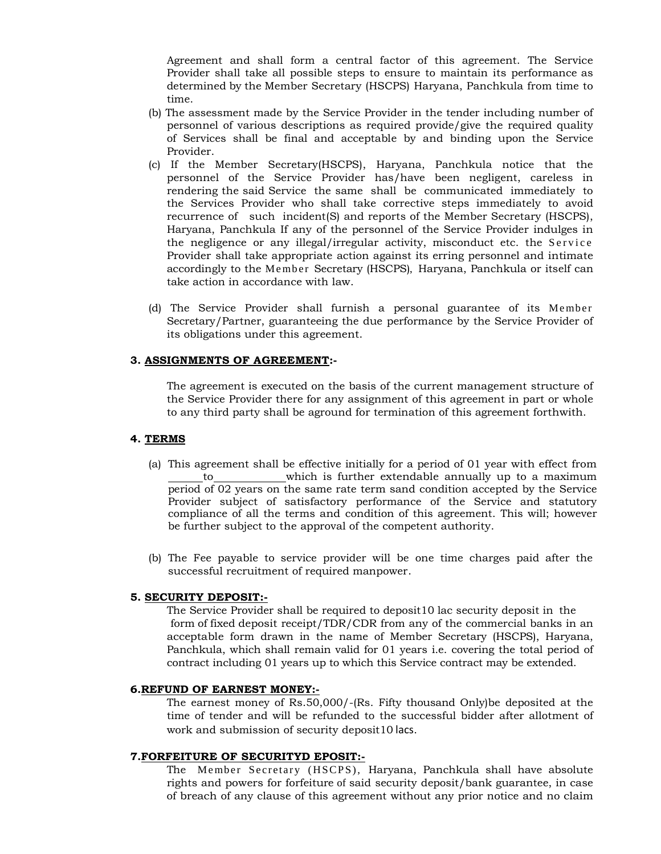Agreement and shall form a central factor of this agreement. The Service Provider shall take all possible steps to ensure to maintain its performance as determined by the Member Secretary (HSCPS) Haryana, Panchkula from time to time.

- (b) The assessment made by the Service Provider in the tender including number of personnel of various descriptions as required provide/give the required quality of Services shall be final and acceptable by and binding upon the Service Provider.
- (c) If the Member Secretary(HSCPS), Haryana, Panchkula notice that the personnel of the Service Provider has/have been negligent, careless in rendering the said Service the same shall be communicated immediately to the Services Provider who shall take corrective steps immediately to avoid recurrence of such incident(S) and reports of the Member Secretary (HSCPS), Haryana, Panchkula If any of the personnel of the Service Provider indulges in the negligence or any illegal/irregular activity, misconduct etc. the Service Provider shall take appropriate action against its erring personnel and intimate accordingly to the Me mb er Secretary (HSCPS), Haryana, Panchkula or itself can take action in accordance with law.
- (d) The Service Provider shall furnish a personal guarantee of its Member Secretary/Partner, guaranteeing the due performance by the Service Provider of its obligations under this agreement.

#### **3. ASSIGNMENTS OF AGREEMENT:-**

 The agreement is executed on the basis of the current management structure of the Service Provider there for any assignment of this agreement in part or whole to any third party shall be aground for termination of this agreement forthwith.

#### **4. TERMS**

- (a) This agreement shall be effective initially for a period of 01 year with effect from period of 02 years on the same rate term sand condition accepted by the Service Provider subject of satisfactory performance of the Service and statutory compliance of all the terms and condition of this agreement. This will; however be further subject to the approval of the competent authority. to which is further extendable annually up to a maximum
- (b) The Fee payable to service provider will be one time charges paid after the successful recruitment of required manpower.

#### **5. SECURITY DEPOSIT:-**

 The Service Provider shall be required to deposit10 lac security deposit in the form of fixed deposit receipt/TDR/CDR from any of the commercial banks in an acceptable form drawn in the name of Member Secretary (HSCPS), Haryana, Panchkula, which shall remain valid for 01 years i.e. covering the total period of contract including 01 years up to which this Service contract may be extended.

#### **6.REFUND OF EARNEST MONEY:-**

 The earnest money of Rs.50,000/-(Rs. Fifty thousand Only)be deposited at the time of tender and will be refunded to the successful bidder after allotment of work and submission of security deposi[t10](mailto:@10%25) lacs.

#### **7.FORFEITURE OF SECURITYD EPOSIT:-**

The Member Secretary (HSCPS), Haryana, Panchkula shall have absolute rights and powers for forfeiture of said security deposit/bank guarantee, in case of breach of any clause of this agreement without any prior notice and no claim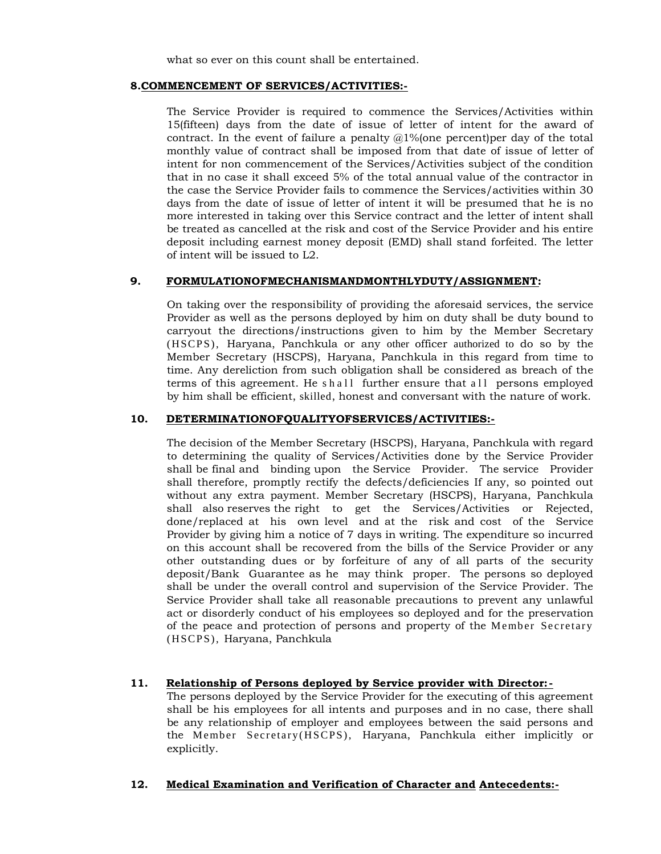what so ever on this count shall be entertained.

# **8.COMMENCEMENT OF SERVICES/ACTIVITIES:-**

 The Service Provider is required to commence the Services/Activities within 15(fifteen) days from the date of issue of letter of intent for the award of contract. In the event of failure a penalty  $@1\%$  (one percent) per day of the total monthly value of contract shall be imposed from that date of issue of letter of intent for non commencement of the Services/Activities subject of the condition that in no case it shall exceed 5% of the total annual value of the contractor in the case the Service Provider fails to commence the Services/activities within 30 days from the date of issue of letter of intent it will be presumed that he is no more interested in taking over this Service contract and the letter of intent shall be treated as cancelled at the risk and cost of the Service Provider and his entire deposit including earnest money deposit (EMD) shall stand forfeited. The letter of intent will be issued to L2.

# **9. FORMULATIONOFMECHANISMANDMONTHLYDUTY/ASSIGNMENT:**

 On taking over the responsibility of providing the aforesaid services, the service Provider as well as the persons deployed by him on duty shall be duty bound to carryout the directions/instructions given to him by the Member Secretary (HSCP S) , Haryana, Panchkula or any other officer authorized to do so by the Member Secretary (HSCPS), Haryana, Panchkula in this regard from time to time. Any dereliction from such obligation shall be considered as breach of the terms of this agreement. He shall further ensure that all persons employed by him shall be efficient, skilled, honest and conversant with the nature of work.

# **10. DETERMINATIONOFQUALITYOFSERVICES/ACTIVITIES:-**

 The decision of the Member Secretary (HSCPS), Haryana, Panchkula with regard to determining the quality of Services/Activities done by the Service Provider shall be final and binding upon the Service Provider. The service Provider shall therefore, promptly rectify the defects/deficiencies If any, so pointed out without any extra payment. Member Secretary (HSCPS), Haryana, Panchkula shall also reserves the right to get the Services/Activities or Rejected, done/replaced at his own level and at the risk and cost of the Service Provider by giving him a notice of 7 days in writing. The expenditure so incurred on this account shall be recovered from the bills of the Service Provider or any other outstanding dues or by forfeiture of any of all parts of the security deposit/Bank Guarantee as he may think proper. The persons so deployed shall be under the overall control and supervision of the Service Provider. The Service Provider shall take all reasonable precautions to prevent any unlawful act or disorderly conduct of his employees so deployed and for the preservation of the peace and protection of persons and property of the Member Secretary (HSCPS), Haryana, Panchkula

# **11. Relationship of Persons deployed by Service provider with Director:-**

 The persons deployed by the Service Provider for the executing of this agreement shall be his employees for all intents and purposes and in no case, there shall be any relationship of employer and employees between the said persons and the Member Secretary(HSCPS), Haryana, Panchkula either implicitly or explicitly.

# **12. Medical Examination and Verification of Character and Antecedents:-**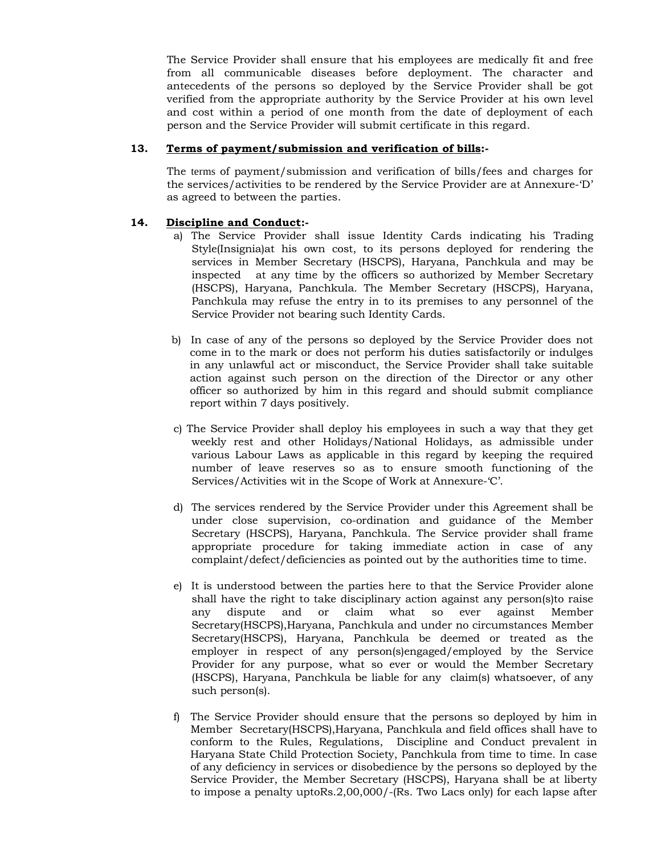The Service Provider shall ensure that his employees are medically fit and free from all communicable diseases before deployment. The character and antecedents of the persons so deployed by the Service Provider shall be got verified from the appropriate authority by the Service Provider at his own level and cost within a period of one month from the date of deployment of each person and the Service Provider will submit certificate in this regard.

# **13. Terms of payment/submission and verification of bills:-**

 The terms of payment/submission and verification of bills/fees and charges for the services/activities to be rendered by the Service Provider are at Annexure-'D' as agreed to between the parties.

# **14. Discipline and Conduct:-**

- a) The Service Provider shall issue Identity Cards indicating his Trading Style(Insignia)at his own cost, to its persons deployed for rendering the services in Member Secretary (HSCPS), Haryana, Panchkula and may be inspected at any time by the officers so authorized by Member Secretary (HSCPS), Haryana, Panchkula. The Member Secretary (HSCPS), Haryana, Panchkula may refuse the entry in to its premises to any personnel of the Service Provider not bearing such Identity Cards.
- b) In case of any of the persons so deployed by the Service Provider does not come in to the mark or does not perform his duties satisfactorily or indulges in any unlawful act or misconduct, the Service Provider shall take suitable action against such person on the direction of the Director or any other officer so authorized by him in this regard and should submit compliance report within 7 days positively.
- c) The Service Provider shall deploy his employees in such a way that they get weekly rest and other Holidays/National Holidays, as admissible under various Labour Laws as applicable in this regard by keeping the required number of leave reserves so as to ensure smooth functioning of the Services/Activities wit in the Scope of Work at Annexure-'C'.
- d) The services rendered by the Service Provider under this Agreement shall be under close supervision, co-ordination and guidance of the Member Secretary (HSCPS), Haryana, Panchkula. The Service provider shall frame appropriate procedure for taking immediate action in case of any complaint/defect/deficiencies as pointed out by the authorities time to time.
- e) It is understood between the parties here to that the Service Provider alone shall have the right to take disciplinary action against any person(s)to raise any Secretary(HSCPS),Haryana, Panchkula and under no circumstances Member Secretary(HSCPS), Haryana, Panchkula be deemed or treated as the employer in respect of any person(s)engaged/employed by the Service Provider for any purpose, what so ever or would the Member Secretary (HSCPS), Haryana, Panchkula be liable for any claim(s) whatsoever, of any such person(s). dispute and or claim what so ever against Member
- f) The Service Provider should ensure that the persons so deployed by him in Member Secretary(HSCPS),Haryana, Panchkula and field offices shall have to conform to the Rules, Regulations, Discipline and Conduct prevalent in Haryana State Child Protection Society, Panchkula from time to time. In case of any deficiency in services or disobedience by the persons so deployed by the Service Provider, the Member Secretary (HSCPS), Haryana shall be at liberty to impose a penalty uptoRs.2,00,000/-(Rs. Two Lacs only) for each lapse after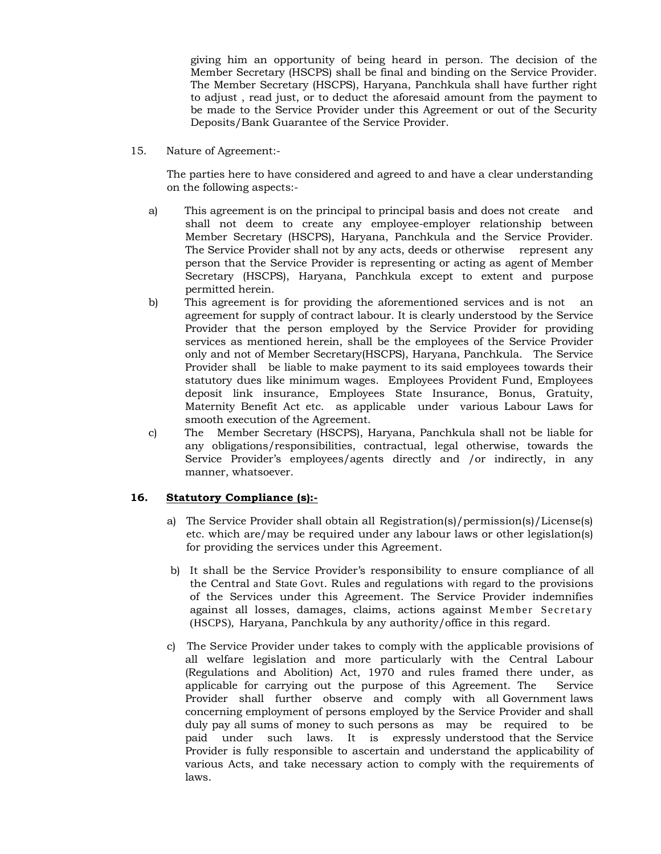giving him an opportunity of being heard in person. The decision of the Member Secretary (HSCPS) shall be final and binding on the Service Provider. The Member Secretary (HSCPS), Haryana, Panchkula shall have further right to adjust , read just, or to deduct the aforesaid amount from the payment to be made to the Service Provider under this Agreement or out of the Security Deposits/Bank Guarantee of the Service Provider.

15. Nature of Agreement:-

> The parties here to have considered and agreed to and have a clear understanding on the following aspects:-

- a) shall not deem to create any employee-employer relationship between Member Secretary (HSCPS), Haryana, Panchkula and the Service Provider. The Service Provider shall not by any acts, deeds or otherwise represent any person that the Service Provider is representing or acting as agent of Member Secretary (HSCPS), Haryana, Panchkula except to extent and purpose permitted herein. This agreement is on the principal to principal basis and does not create and
- $\mathbf{b}$  agreement for supply of contract labour. It is clearly understood by the Service Provider that the person employed by the Service Provider for providing services as mentioned herein, shall be the employees of the Service Provider only and not of Member Secretary(HSCPS), Haryana, Panchkula. The Service Provider shall be liable to make payment to its said employees towards their statutory dues like minimum wages. Employees Provident Fund, Employees deposit link insurance, Employees State Insurance, Bonus, Gratuity, Maternity Benefit Act etc. as applicable under various Labour Laws for smooth execution of the Agreement. This agreement is for providing the aforementioned services and is not an
- $\mathbf{c}$  any obligations/responsibilities, contractual, legal otherwise, towards the Service Provider's employees/agents directly and /or indirectly, in any c) The Member Secretary (HSCPS), Haryana, Panchkula shall not be liable for manner, whatsoever.

# **16. Statutory Compliance (s):-**

- a) The Service Provider shall obtain all Registration(s)/permission(s)/License(s) etc. which are/may be required under any labour laws or other legislation(s) for providing the services under this Agreement.
- b) It shall be the Service Provider's responsibility to ensure compliance of all the Central and State Govt. Rules and regulations with regard to the provisions of the Services under this Agreement. The Service Provider indemnifies against all losses, damages, claims, actions against Member Secretary (HSCPS), Haryana, Panchkula by any authority/office in this regard.
- c) The Service Provider under takes to comply with the applicable provisions of all welfare legislation and more particularly with the Central Labour (Regulations and Abolition) Act, 1970 and rules framed there under, as applicable for carrying out the purpose of this Agreement. The Service Provider shall further observe and comply with all Government laws concerning employment of persons employed by the Service Provider and shall duly pay all sums of money to such persons as may be required to be paid under such laws. It is expressly understood that the Service Provider is fully responsible to ascertain and understand the applicability of various Acts, and take necessary action to comply with the requirements of laws.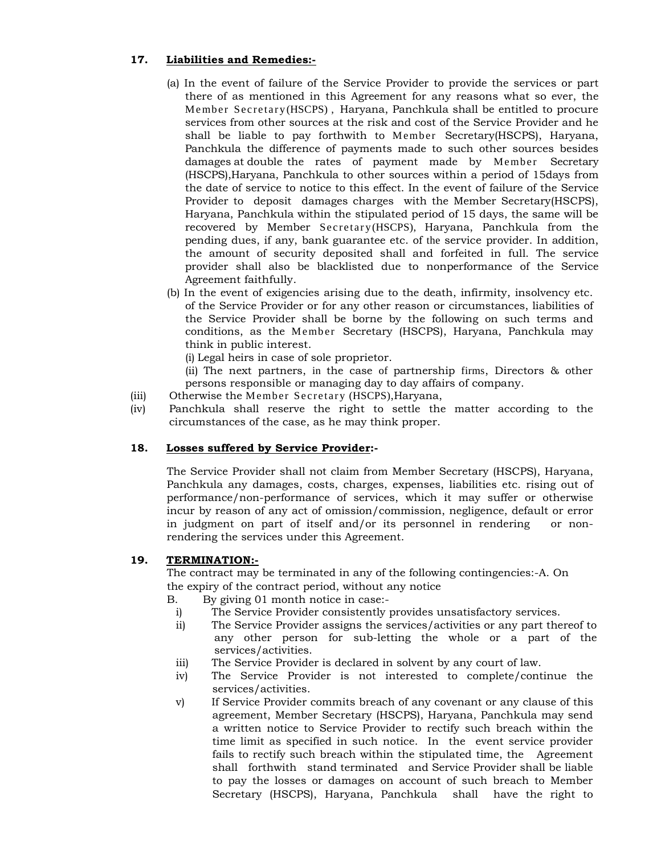# **17. Liabilities and Remedies:-**

- (a) In the event of failure of the Service Provider to provide the services or part there of as mentioned in this Agreement for any reasons what so ever, the Me mb er Secretar y (HSCPS) , Haryana, Panchkula shall be entitled to procure services from other sources at the risk and cost of the Service Provider and he shall be liable to pay forthwith to Member Secretary(HSCPS), Haryana, Panchkula the difference of payments made to such other sources besides damages at double the rates of payment made by Member Secretary (HSCPS),Haryana, Panchkula to other sources within a period of 15days from the date of service to notice to this effect. In the event of failure of the Service Provider to deposit damages charges with the Member Secretary(HSCPS), Haryana, Panchkula within the stipulated period of 15 days, the same will be recovered by Member Secretary (HSCPS), Haryana, Panchkula from the pending dues, if any, bank guarantee etc. of the service provider. In addition, the amount of security deposited shall and forfeited in full. The service provider shall also be blacklisted due to nonperformance of the Service Agreement faithfully.
- (b) In the event of exigencies arising due to the death, infirmity, insolvency etc. of the Service Provider or for any other reason or circumstances, liabilities of the Service Provider shall be borne by the following on such terms and conditions, as the Member Secretary (HSCPS), Haryana, Panchkula may think in public interest.

(i) Legal heirs in case of sole proprietor.

 (ii) The next partners, in the case of partnership firms, Directors & other persons responsible or managing day to day affairs of company.

- (iii) Otherwise the Member Secretary (HSCPS), Haryana,
- (iv) Panchkula shall reserve the right to settle the matter according to the circumstances of the case, as he may think proper.

# **18. Losses suffered by Service Provider:-**

 The Service Provider shall not claim from Member Secretary (HSCPS), Haryana, Panchkula any damages, costs, charges, expenses, liabilities etc. rising out of performance/non-performance of services, which it may suffer or otherwise incur by reason of any act of omission/commission, negligence, default or error in judgment on part of itself and/or its personnel in rendering or non-rendering the services under this Agreement.

# **19. TERMINATION:-**

 The contract may be terminated in any of the following contingencies:-A. On the expiry of the contract period, without any notice

- Β. By giving 01 month notice in case:
	- $i)$ The Service Provider consistently provides unsatisfactory services.
	- $\overline{11}$  any other person for sub-letting the whole or a part of the The Service Provider assigns the services/activities or any part thereof to services/activities.
	- iii) The Service Provider is declared in solvent by any court of law.
	- $iv)$ The Service Provider is not interested to complete/continue the services/activities.
	- $\mathbf{v}$  agreement, Member Secretary (HSCPS), Haryana, Panchkula may send a written notice to Service Provider to rectify such breach within the time limit as specified in such notice. In the event service provider fails to rectify such breach within the stipulated time, the Agreement shall forthwith stand terminated and Service Provider shall be liable to pay the losses or damages on account of such breach to Member Secretary (HSCPS), Haryana, Panchkula shall have the right to If Service Provider commits breach of any covenant or any clause of this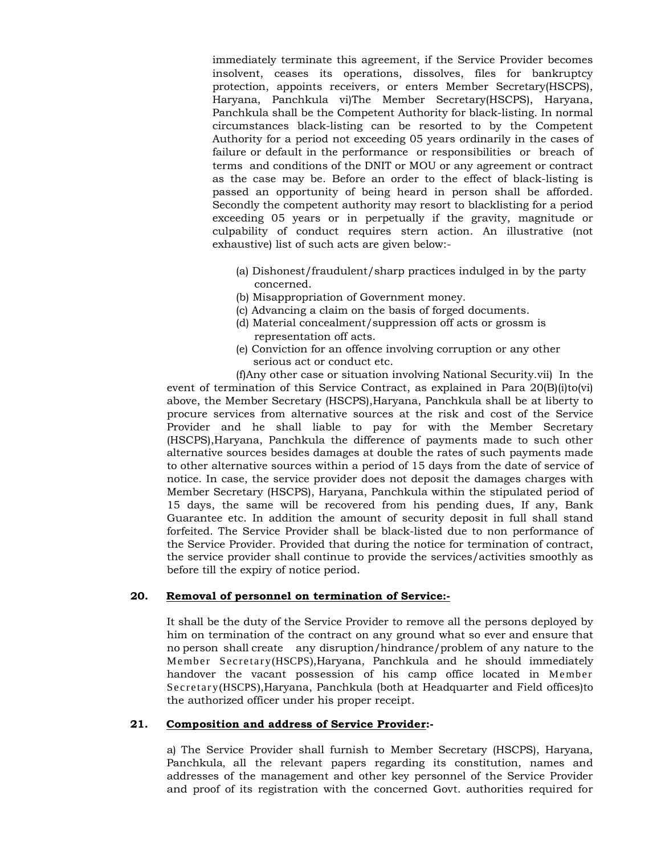immediately terminate this agreement, if the Service Provider becomes insolvent, ceases its operations, dissolves, files for bankruptcy protection, appoints receivers, or enters Member Secretary(HSCPS), Haryana, Panchkula vi)The Member Secretary(HSCPS), Haryana, Panchkula shall be the Competent Authority for black-listing. In normal circumstances black-listing can be resorted to by the Competent Authority for a period not exceeding 05 years ordinarily in the cases of failure or default in the performance or responsibilities or breach of terms and conditions of the DNIT or MOU or any agreement or contract as the case may be. Before an order to the effect of black-listing is passed an opportunity of being heard in person shall be afforded. Secondly the competent authority may resort to blacklisting for a period exceeding 05 years or in perpetually if the gravity, magnitude or culpability of conduct requires stern action. An illustrative (not exhaustive) list of such acts are given below:-

- (a) Dishonest/fraudulent/sharp practices indulged in by the party concerned.
- (b) Misappropriation of Government money.
- (c) Advancing a claim on the basis of forged documents.
- (d) Material concealment/suppression off acts or grossm is representation off acts.
- (e) Conviction for an offence involving corruption or any other serious act or conduct etc.

 (f)Any other case or situation involving National Security.vii) In the event of termination of this Service Contract, as explained in Para 20(B)(i)to(vi) above, the Member Secretary (HSCPS),Haryana, Panchkula shall be at liberty to procure services from alternative sources at the risk and cost of the Service Provider and he shall liable to pay for with the Member Secretary (HSCPS),Haryana, Panchkula the difference of payments made to such other alternative sources besides damages at double the rates of such payments made to other alternative sources within a period of 15 days from the date of service of notice. In case, the service provider does not deposit the damages charges with Member Secretary (HSCPS), Haryana, Panchkula within the stipulated period of 15 days, the same will be recovered from his pending dues, If any, Bank Guarantee etc. In addition the amount of security deposit in full shall stand forfeited. The Service Provider shall be black-listed due to non performance of the Service Provider. Provided that during the notice for termination of contract, the service provider shall continue to provide the services/activities smoothly as before till the expiry of notice period.

#### **20. Removal of personnel on termination of Service:-**

 It shall be the duty of the Service Provider to remove all the persons deployed by him on termination of the contract on any ground what so ever and ensure that no person shall create any disruption/hindrance/problem of any nature to the Me mb er Secretar y(HSCPS),Haryana, Panchkula and he should immediately handover the vacant possession of his camp office located in Member Secretar y(HSCPS),Haryana, Panchkula (both at Headquarter and Field offices)to the authorized officer under his proper receipt.

# **21. Composition and address of Service Provider:-**

 a) The Service Provider shall furnish to Member Secretary (HSCPS), Haryana, Panchkula, all the relevant papers regarding its constitution, names and addresses of the management and other key personnel of the Service Provider and proof of its registration with the concerned Govt. authorities required for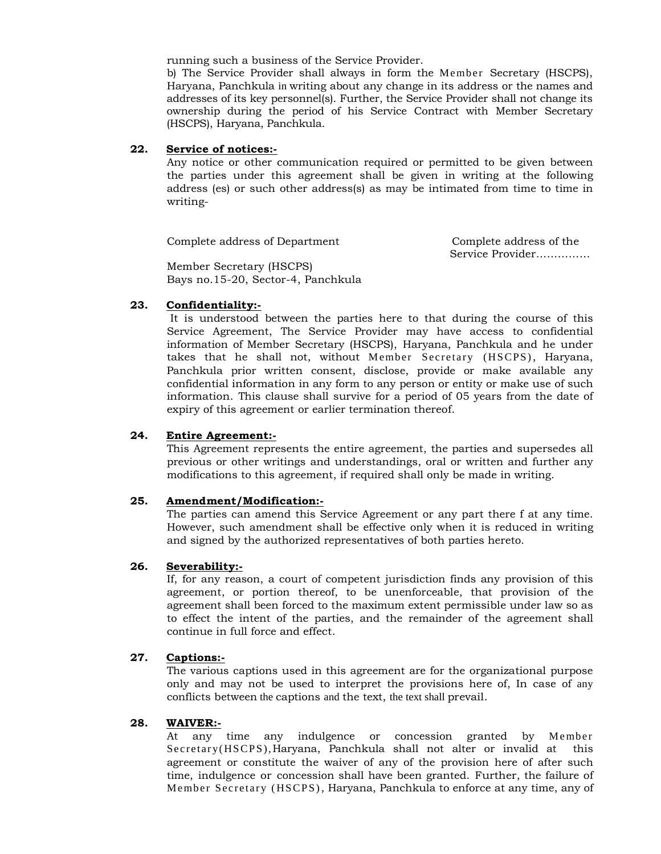running such a business of the Service Provider.

b) The Service Provider shall always in form the Member Secretary (HSCPS), Haryana, Panchkula in writing about any change in its address or the names and addresses of its key personnel(s). Further, the Service Provider shall not change its ownership during the period of his Service Contract with Member Secretary (HSCPS), Haryana, Panchkula.

### **22. Service of notices:-**

 Any notice or other communication required or permitted to be given between the parties under this agreement shall be given in writing at the following address (es) or such other address(s) as may be intimated from time to time in writing-

Complete address of Department Complete address of the

Service Provider……………

 Member Secretary (HSCPS) Bays no.15-20, Sector-4, Panchkula

# **23. Confidentiality:-**

 It is understood between the parties here to that during the course of this Service Agreement, The Service Provider may have access to confidential information of Member Secretary (HSCPS), Haryana, Panchkula and he under takes that he shall not, without Member Secretary (HSCPS), Haryana, Panchkula prior written consent, disclose, provide or make available any confidential information in any form to any person or entity or make use of such information. This clause shall survive for a period of 05 years from the date of expiry of this agreement or earlier termination thereof.

# **24. Entire Agreement:-**

 This Agreement represents the entire agreement, the parties and supersedes all previous or other writings and understandings, oral or written and further any modifications to this agreement, if required shall only be made in writing.

# **25. Amendment/Modification:-**

 The parties can amend this Service Agreement or any part there f at any time. However, such amendment shall be effective only when it is reduced in writing and signed by the authorized representatives of both parties hereto.

# **26. Severability:-**

 If, for any reason, a court of competent jurisdiction finds any provision of this agreement, or portion thereof, to be unenforceable, that provision of the agreement shall been forced to the maximum extent permissible under law so as to effect the intent of the parties, and the remainder of the agreement shall continue in full force and effect.

# **27. Captions:-**

 The various captions used in this agreement are for the organizational purpose only and may not be used to interpret the provisions here of, In case of any conflicts between the captions and the text, the text shall prevail.

# **28. WAIVER:-**

At any time any indulgence or concession granted by Member Secretar y(HS CP S), Haryana, Panchkula shall not alter or invalid at this agreement or constitute the waiver of any of the provision here of after such time, indulgence or concession shall have been granted. Further, the failure of Member Secretary (HSCPS), Haryana, Panchkula to enforce at any time, any of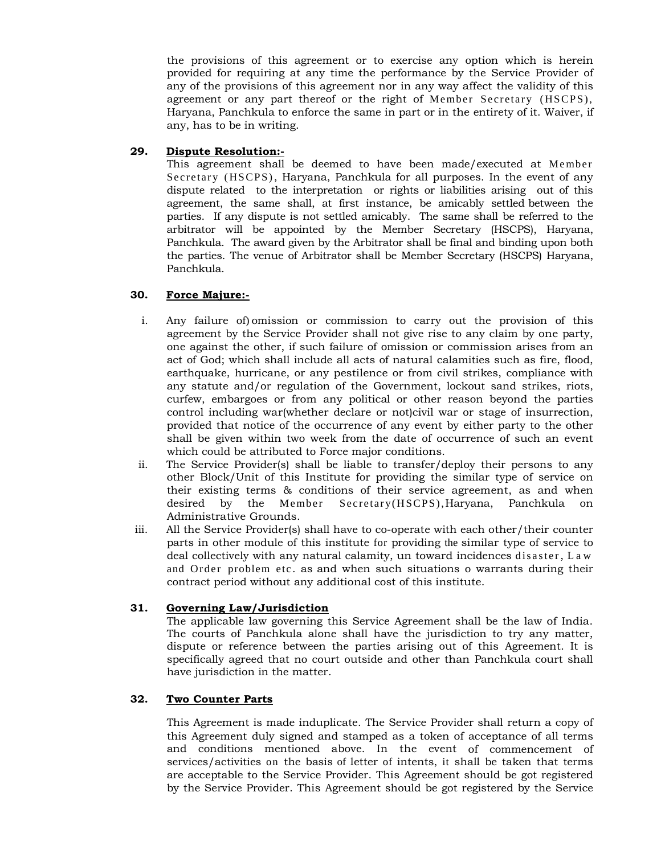the provisions of this agreement or to exercise any option which is herein provided for requiring at any time the performance by the Service Provider of any of the provisions of this agreement nor in any way affect the validity of this agreement or any part thereof or the right of Member Secretary (HSCPS), Haryana, Panchkula to enforce the same in part or in the entirety of it. Waiver, if any, has to be in writing.

# **29. Dispute Resolution:-**

This agreement shall be deemed to have been made/executed at Member Secretary (HSCPS), Haryana, Panchkula for all purposes. In the event of any dispute related to the interpretation or rights or liabilities arising out of this agreement, the same shall, at first instance, be amicably settled between the parties. If any dispute is not settled amicably. The same shall be referred to the arbitrator will be appointed by the Member Secretary (HSCPS), Haryana, Panchkula. The award given by the Arbitrator shall be final and binding upon both the parties. The venue of Arbitrator shall be Member Secretary (HSCPS) Haryana, Panchkula.

# **30. Force Majure:-**

- i. Any failure of) omission or commission to carry out the provision of this agreement by the Service Provider shall not give rise to any claim by one party, one against the other, if such failure of omission or commission arises from an act of God; which shall include all acts of natural calamities such as fire, flood, earthquake, hurricane, or any pestilence or from civil strikes, compliance with any statute and/or regulation of the Government, lockout sand strikes, riots, curfew, embargoes or from any political or other reason beyond the parties control including war(whether declare or not)civil war or stage of insurrection, provided that notice of the occurrence of any event by either party to the other shall be given within two week from the date of occurrence of such an event which could be attributed to Force major conditions.
- ii. The Service Provider(s) shall be liable to transfer/deploy their persons to any other Block/Unit of this Institute for providing the similar type of service on their existing terms & conditions of their service agreement, as and when desired by the Member Secretary(HSCPS), Haryana, Panchkula on Administrative Grounds.
- iii. All the Service Provider(s) shall have to co-operate with each other/their counter parts in other module of this institute for providing the similar type of service to deal collectively with any natural calamity, un toward incidences disaster, Law and Order problem etc. as and when such situations o warrants during their contract period without any additional cost of this institute.

# **31. Governing Law/Jurisdiction**

 The applicable law governing this Service Agreement shall be the law of India. The courts of Panchkula alone shall have the jurisdiction to try any matter, dispute or reference between the parties arising out of this Agreement. It is specifically agreed that no court outside and other than Panchkula court shall have jurisdiction in the matter.

# **32. Two Counter Parts**

 This Agreement is made induplicate. The Service Provider shall return a copy of this Agreement duly signed and stamped as a token of acceptance of all terms and conditions mentioned above. In the event of commencement of services/activities on the basis of letter of intents, it shall be taken that terms are acceptable to the Service Provider. This Agreement should be got registered by the Service Provider. This Agreement should be got registered by the Service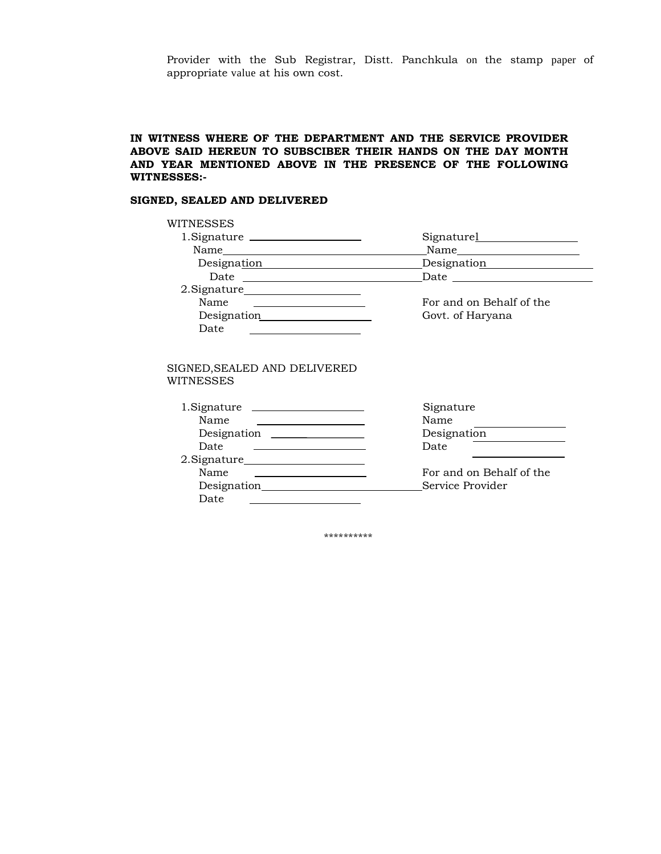Provider with the Sub Registrar, Distt. Panchkula on the stamp paper of appropriate value at his own cost.

# **IN WITNESS WHERE OF THE DEPARTMENT AND THE SERVICE PROVIDER ABOVE SAID HEREUN TO SUBSCIBER THEIR HANDS ON THE DAY MONTH AND YEAR MENTIONED ABOVE IN THE PRESENCE OF THE FOLLOWING WITNESSES:-**

#### **SIGNED, SEALED AND DELIVERED**

| WITNESSES<br>$1.$ Signature $\_\_\_\_\_\_\_\_\_\_\_\_\_\_\_\_\_\_\_\_$                                                       | Signaturel               |
|------------------------------------------------------------------------------------------------------------------------------|--------------------------|
|                                                                                                                              |                          |
| Name                                                                                                                         |                          |
| Designa <u>tion</u>                                                                                                          | Designation              |
|                                                                                                                              |                          |
| 2. Signature                                                                                                                 |                          |
| Name<br><u> 1980 - Andrea Andrew Maria (h. 1980).</u>                                                                        | For and on Behalf of the |
|                                                                                                                              | Govt. of Haryana         |
| Date $\qquad \qquad$                                                                                                         |                          |
|                                                                                                                              |                          |
|                                                                                                                              |                          |
| SIGNED, SEALED AND DELIVERED<br>WITNESSES<br>1. Signature <u>___________________________</u><br>Name                         | Signature<br>Name        |
| <u> 1989 - Andrea Britain, politik eta politik eta politik eta politik eta politik eta politik eta politik eta p</u>         | Designation              |
| Designation<br>Date                                                                                                          | Date                     |
|                                                                                                                              |                          |
| Name<br><u> 1980 - Andrea Maria Alemania, prima alemaniar populari e a prima alemania de la prima alemania de la prima a</u> | For and on Behalf of the |
|                                                                                                                              | Service Provider         |

\*\*\*\*\*\*\*\*\*\*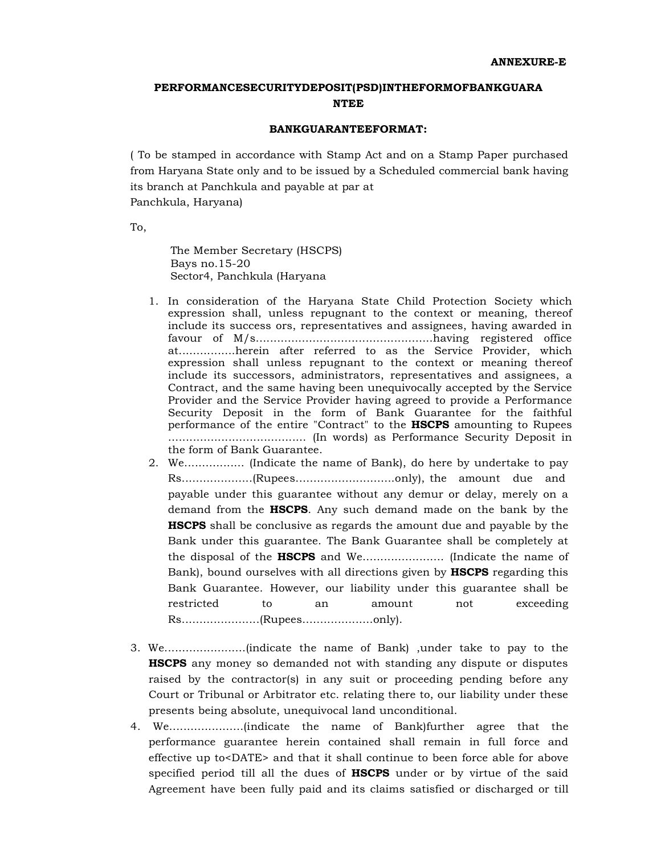# **PERFORMANCESECURITYDEPOSIT(PSD)INTHEFORMOFBANKGUARA NTEE**

#### **BANKGUARANTEEFORMAT:**

 ( To be stamped in accordance with Stamp Act and on a Stamp Paper purchased from Haryana State only and to be issued by a Scheduled commercial bank having its branch at Panchkula and payable at par at Panchkula, Haryana)

To,

 The Member Secretary (HSCPS) Bays no.15-20 Sector4, Panchkula (Haryana

- 1. In consideration of the Haryana State Child Protection Society which expression shall, unless repugnant to the context or meaning, thereof include its success ors, representatives and assignees, having awarded in favour of M/s..................................................having registered office at................herein after referred to as the Service Provider, which expression shall unless repugnant to the context or meaning thereof include its successors, administrators, representatives and assignees, a Contract, and the same having been unequivocally accepted by the Service Provider and the Service Provider having agreed to provide a Performance Security Deposit in the form of Bank Guarantee for the faithful performance of the entire "Contract" to the **HSCPS** amounting to Rupees ....................................... (In words) as Performance Security Deposit in the form of Bank Guarantee.
- 2. We................. (Indicate the name of Bank), do here by undertake to pay Rs....................(Rupees............................only), the amount due and payable under this guarantee without any demur or delay, merely on a demand from the **HSCPS**. Any such demand made on the bank by the **HSCPS** shall be conclusive as regards the amount due and payable by the Bank under this guarantee. The Bank Guarantee shall be completely at the disposal of the **HSCPS** and We....................... (Indicate the name of Bank), bound ourselves with all directions given by **HSCPS** regarding this Bank Guarantee. However, our liability under this guarantee shall be restricted to an amount not exceeding Rs......................(Rupees....................only).
- 3. We.......................(indicate the name of Bank) ,under take to pay to the **HSCPS** any money so demanded not with standing any dispute or disputes raised by the contractor(s) in any suit or proceeding pending before any Court or Tribunal or Arbitrator etc. relating there to, our liability under these presents being absolute, unequivocal land unconditional.
- 4. We.....................(indicate the name of Bank)further agree that the performance guarantee herein contained shall remain in full force and effective up to<DATE> and that it shall continue to been force able for above specified period till all the dues of **HSCPS** under or by virtue of the said Agreement have been fully paid and its claims satisfied or discharged or till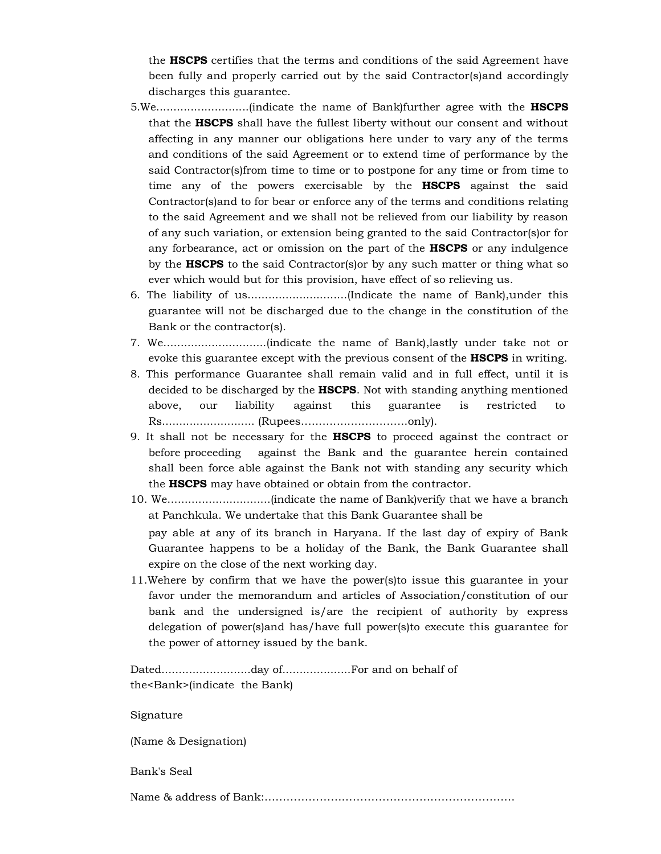the **HSCPS** certifies that the terms and conditions of the said Agreement have been fully and properly carried out by the said Contractor(s)and accordingly discharges this guarantee.

- 5.We...........................(indicate the name of Bank)further agree with the **HSCPS**  that the **HSCPS** shall have the fullest liberty without our consent and without affecting in any manner our obligations here under to vary any of the terms and conditions of the said Agreement or to extend time of performance by the said Contractor(s)from time to time or to postpone for any time or from time to time any of the powers exercisable by the **HSCPS** against the said Contractor(s)and to for bear or enforce any of the terms and conditions relating to the said Agreement and we shall not be relieved from our liability by reason of any such variation, or extension being granted to the said Contractor(s)or for any forbearance, act or omission on the part of the **HSCPS** or any indulgence by the **HSCPS** to the said Contractor(s)or by any such matter or thing what so ever which would but for this provision, have effect of so relieving us.
- 6. The liability of us.............................(Indicate the name of Bank),under this guarantee will not be discharged due to the change in the constitution of the Bank or the contractor(s).
- 7. We..............................(indicate the name of Bank),lastly under take not or evoke this guarantee except with the previous consent of the **HSCPS** in writing.
- 8. This performance Guarantee shall remain valid and in full effect, until it is decided to be discharged by the **HSCPS**. Not with standing anything mentioned above. our liability against this guarantee is restricted to Rs........................... (Rupees..............................only).
- 9. It shall not be necessary for the **HSCPS** to proceed against the contract or before proceeding against the Bank and the guarantee herein contained shall been force able against the Bank not with standing any security which the **HSCPS** may have obtained or obtain from the contractor.
- 10. We..............................(indicate the name of Bank)verify that we have a branch at Panchkula. We undertake that this Bank Guarantee shall be pay able at any of its branch in Haryana. If the last day of expiry of Bank Guarantee happens to be a holiday of the Bank, the Bank Guarantee shall expire on the close of the next working day.
- 11.Wehere by confirm that we have the power(s)to issue this guarantee in your favor under the memorandum and articles of Association/constitution of our bank and the undersigned is/are the recipient of authority by express delegation of power(s)and has/have full power(s)to execute this guarantee for the power of attorney issued by the bank.

 Dated..........................day of....................For and on behalf of the<Bank>(indicate the Bank)

Signature

(Name & Designation)

Bank's Seal

Name & address of Bank:…………………………………………………………..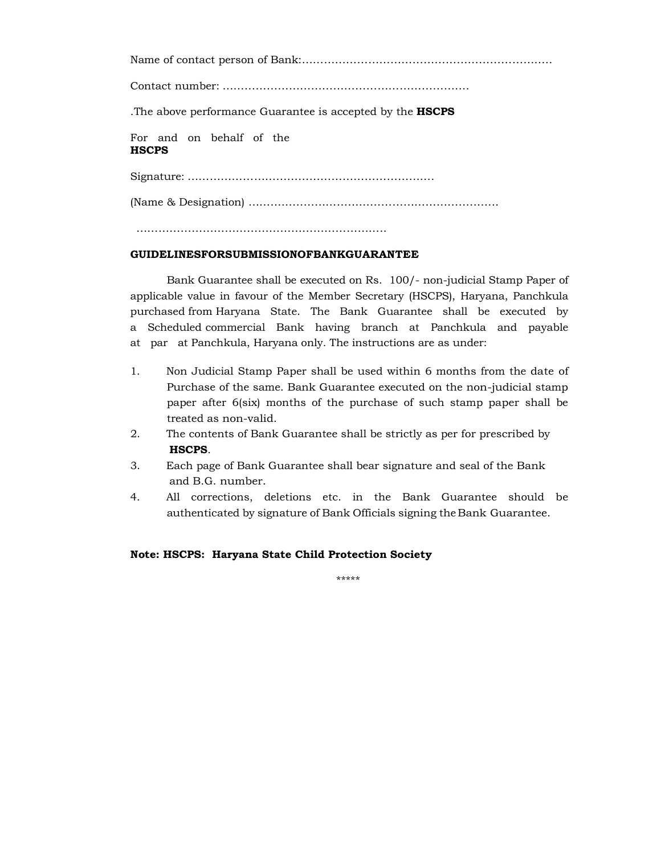Name of contact person of Bank:………………………………………………………….. .The above performance Guarantee is accepted by the **HSCPS**  For and on behalf of the (Name & Designation) ………………………………………………………….. Contact number: …………………………………………………………. **HSCPS**  Signature: ………………………………………………………….

…………………………………………………………..

#### **GUIDELINESFORSUBMISSIONOFBANKGUARANTEE**

 Bank Guarantee shall be executed on Rs. 100/- non-judicial Stamp Paper of applicable value in favour of the Member Secretary (HSCPS), Haryana, Panchkula purchased from Haryana State. The Bank Guarantee shall be executed by a Scheduled commercial Bank having branch at Panchkula and payable at par at Panchkula, Haryana only. The instructions are as under:

- 1. Non Judicial Stamp Paper shall be used within 6 months from the date of Purchase of the same. Bank Guarantee executed on the non-judicial stamp paper after 6(six) months of the purchase of such stamp paper shall be treated as non-valid.
- 2. The contents of Bank Guarantee shall be strictly as per for prescribed by **HSCPS**.
- 3. and B.G. number. 3. Each page of Bank Guarantee shall bear signature and seal of the Bank
- 4. All corrections, deletions etc. in the Bank Guarantee should be authenticated by signature of Bank Officials signing the Bank Guarantee.

# **Note: HSCPS: Haryana State Child Protection Society**

\*\*\*\*\*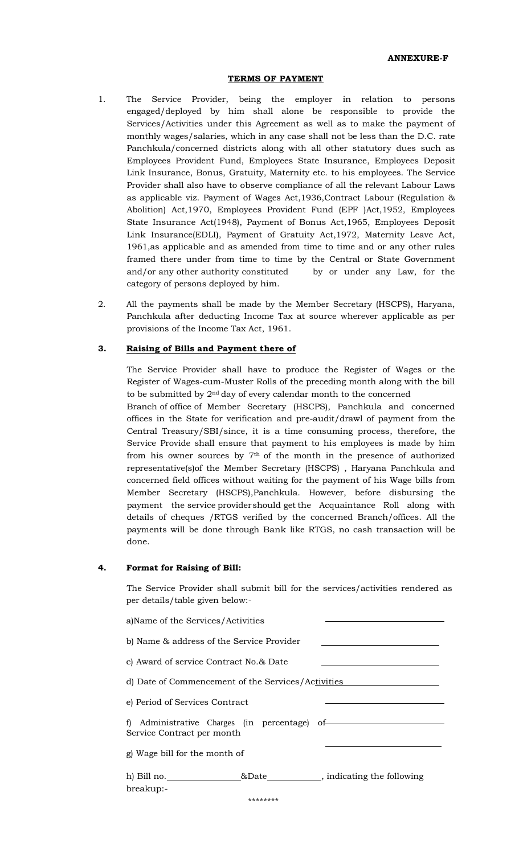### **TERMS OF PAYMENT**

- 1. The Service Provider, being the employer in relation to persons engaged/deployed by him shall alone be responsible to provide the Services/Activities under this Agreement as well as to make the payment of monthly wages/salaries, which in any case shall not be less than the D.C. rate Panchkula/concerned districts along with all other statutory dues such as Employees Provident Fund, Employees State Insurance, Employees Deposit Link Insurance, Bonus, Gratuity, Maternity etc. to his employees. The Service Provider shall also have to observe compliance of all the relevant Labour Laws as applicable viz. Payment of Wages Act,1936,Contract Labour (Regulation & Abolition) Act,1970, Employees Provident Fund (EPF )Act,1952, Employees State Insurance Act(1948), Payment of Bonus Act,1965, Employees Deposit Link Insurance(EDLI), Payment of Gratuity Act,1972, Maternity Leave Act, 1961,as applicable and as amended from time to time and or any other rules framed there under from time to time by the Central or State Government and/or any other authority constituted by or under any Law, for the category of persons deployed by him.
- 2. All the payments shall be made by the Member Secretary (HSCPS), Haryana, Panchkula after deducting Income Tax at source wherever applicable as per provisions of the Income Tax Act, 1961.

# **3. Raising of Bills and Payment there of**

 The Service Provider shall have to produce the Register of Wages or the Register of Wages-cum-Muster Rolls of the preceding month along with the bill to be submitted by 2nd day of every calendar month to the concerned Branch of office of Member Secretary (HSCPS), Panchkula and concerned offices in the State for verification and pre-audit/drawl of payment from the Central Treasury/SBI/since, it is a time consuming process, therefore, the Service Provide shall ensure that payment to his employees is made by him from his owner sources by  $7<sup>th</sup>$  of the month in the presence of authorized representative(s)of the Member Secretary (HSCPS) , Haryana Panchkula and concerned field offices without waiting for the payment of his Wage bills from Member Secretary (HSCPS),Panchkula. However, before disbursing the payment the service providershould get the Acquaintance Roll along with details of cheques /RTGS verified by the concerned Branch/offices. All the payments will be done through Bank like RTGS, no cash transaction will be done.

# **4. Format for Raising of Bill:**

 The Service Provider shall submit bill for the services/activities rendered as per details/table given below:-

| a)Name of the Services/Activities                                          |  |                                  |  |
|----------------------------------------------------------------------------|--|----------------------------------|--|
| b) Name & address of the Service Provider                                  |  |                                  |  |
| c) Award of service Contract No.& Date                                     |  |                                  |  |
| d) Date of Commencement of the Services/Activities                         |  |                                  |  |
| e) Period of Services Contract                                             |  |                                  |  |
| f) Administrative Charges (in percentage) of<br>Service Contract per month |  |                                  |  |
| g) Wage bill for the month of                                              |  |                                  |  |
| $h)$ Bill no.<br>breakup:-                                                 |  | &Date , indicating the following |  |

\*\*\*\*\*\*\*\*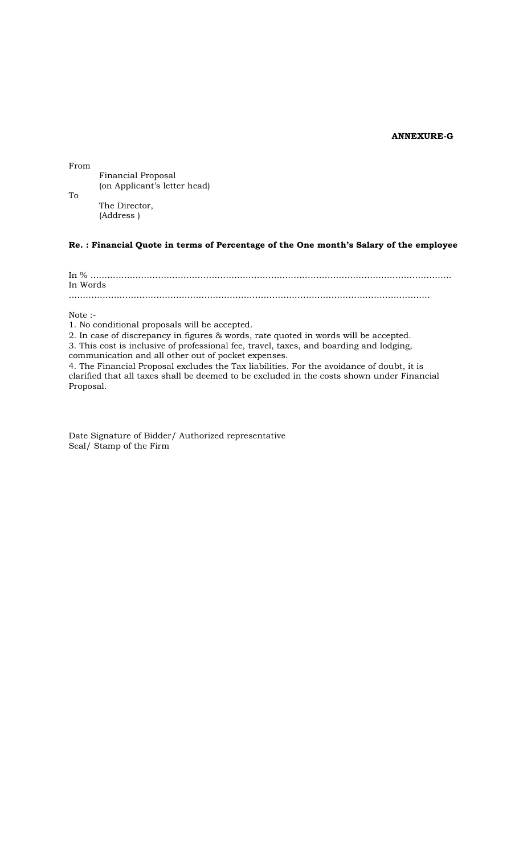### **ANNEXURE-G**

From

Financial Proposal (on Applicant's letter head)

To

 The Director, (Address ) (Address)

# **Re. : Financial Quote in terms of Percentage of the One month's Salary of the employee**

In % ……………………………………………………………………………………………………………….. In Words ………………………………………………………………………………………………………………..

Note :-

1. No conditional proposals will be accepted.

2. In case of discrepancy in figures & words, rate quoted in words will be accepted.

3. This cost is inclusive of professional fee, travel, taxes, and boarding and lodging,

communication and all other out of pocket expenses.

 4. The Financial Proposal excludes the Tax liabilities. For the avoidance of doubt, it is clarified that all taxes shall be deemed to be excluded in the costs shown under Financial Proposal.

 Seal/ Stamp of the Firm Date Signature of Bidder/ Authorized representative